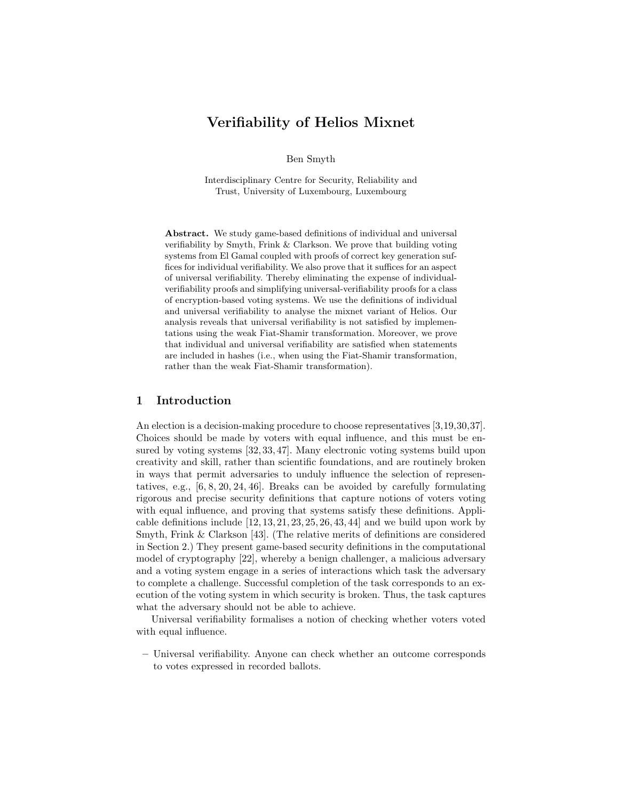# Verifiability of Helios Mixnet

Ben Smyth

Interdisciplinary Centre for Security, Reliability and Trust, University of Luxembourg, Luxembourg

Abstract. We study game-based definitions of individual and universal verifiability by Smyth, Frink & Clarkson. We prove that building voting systems from El Gamal coupled with proofs of correct key generation suffices for individual verifiability. We also prove that it suffices for an aspect of universal verifiability. Thereby eliminating the expense of individualverifiability proofs and simplifying universal-verifiability proofs for a class of encryption-based voting systems. We use the definitions of individual and universal verifiability to analyse the mixnet variant of Helios. Our analysis reveals that universal verifiability is not satisfied by implementations using the weak Fiat-Shamir transformation. Moreover, we prove that individual and universal verifiability are satisfied when statements are included in hashes (i.e., when using the Fiat-Shamir transformation, rather than the weak Fiat-Shamir transformation).

### 1 Introduction

An election is a decision-making procedure to choose representatives [3,19,30,37]. Choices should be made by voters with equal influence, and this must be ensured by voting systems [32, 33, 47]. Many electronic voting systems build upon creativity and skill, rather than scientific foundations, and are routinely broken in ways that permit adversaries to unduly influence the selection of representatives, e.g., [6, 8, 20, 24, 46]. Breaks can be avoided by carefully formulating rigorous and precise security definitions that capture notions of voters voting with equal influence, and proving that systems satisfy these definitions. Applicable definitions include  $[12, 13, 21, 23, 25, 26, 43, 44]$  and we build upon work by Smyth, Frink & Clarkson [43]. (The relative merits of definitions are considered in Section 2.) They present game-based security definitions in the computational model of cryptography [22], whereby a benign challenger, a malicious adversary and a voting system engage in a series of interactions which task the adversary to complete a challenge. Successful completion of the task corresponds to an execution of the voting system in which security is broken. Thus, the task captures what the adversary should not be able to achieve.

Universal verifiability formalises a notion of checking whether voters voted with equal influence.

– Universal verifiability. Anyone can check whether an outcome corresponds to votes expressed in recorded ballots.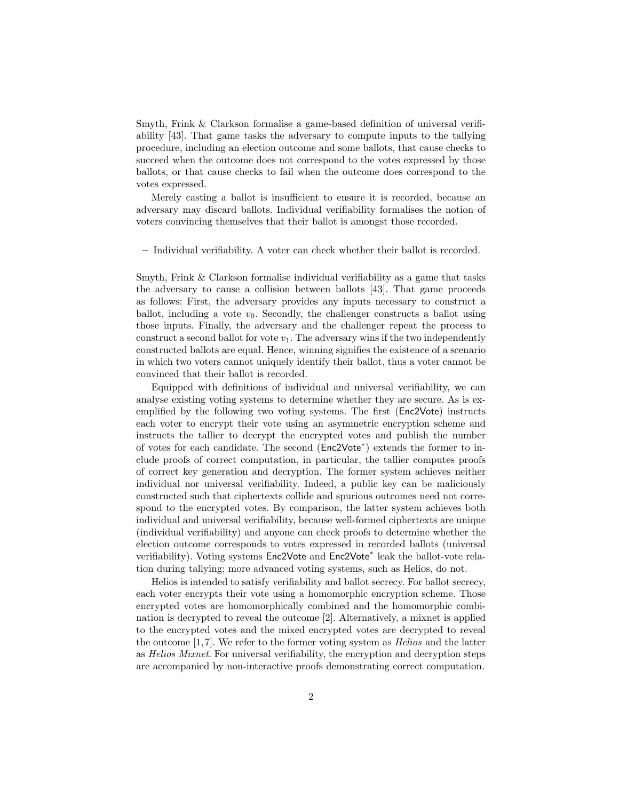Smyth, Frink & Clarkson formalise a game-based definition of universal verifiability [43]. That game tasks the adversary to compute inputs to the tallying procedure, including an election outcome and some ballots, that cause checks to succeed when the outcome does not correspond to the votes expressed by those ballots, or that cause checks to fail when the outcome does correspond to the votes expressed.

Merely casting a ballot is insufficient to ensure it is recorded, because an adversary may discard ballots. Individual verifiability formalises the notion of voters convincing themselves that their ballot is amongst those recorded.

– Individual verifiability. A voter can check whether their ballot is recorded.

Smyth, Frink & Clarkson formalise individual verifiability as a game that tasks the adversary to cause a collision between ballots [43]. That game proceeds as follows: First, the adversary provides any inputs necessary to construct a ballot, including a vote  $v_0$ . Secondly, the challenger constructs a ballot using those inputs. Finally, the adversary and the challenger repeat the process to construct a second ballot for vote  $v_1$ . The adversary wins if the two independently constructed ballots are equal. Hence, winning signifies the existence of a scenario in which two voters cannot uniquely identify their ballot, thus a voter cannot be convinced that their ballot is recorded.

Equipped with definitions of individual and universal verifiability, we can analyse existing voting systems to determine whether they are secure. As is exemplified by the following two voting systems. The first (Enc2Vote) instructs each voter to encrypt their vote using an asymmetric encryption scheme and instructs the tallier to decrypt the encrypted votes and publish the number of votes for each candidate. The second (Enc2Vote<sup>∗</sup> ) extends the former to include proofs of correct computation, in particular, the tallier computes proofs of correct key generation and decryption. The former system achieves neither individual nor universal verifiability. Indeed, a public key can be maliciously constructed such that ciphertexts collide and spurious outcomes need not correspond to the encrypted votes. By comparison, the latter system achieves both individual and universal verifiability, because well-formed ciphertexts are unique (individual verifiability) and anyone can check proofs to determine whether the election outcome corresponds to votes expressed in recorded ballots (universal verifiability). Voting systems Enc2Vote and Enc2Vote<sup>\*</sup> leak the ballot-vote relation during tallying; more advanced voting systems, such as Helios, do not.

Helios is intended to satisfy verifiability and ballot secrecy. For ballot secrecy, each voter encrypts their vote using a homomorphic encryption scheme. Those encrypted votes are homomorphically combined and the homomorphic combination is decrypted to reveal the outcome [2]. Alternatively, a mixnet is applied to the encrypted votes and the mixed encrypted votes are decrypted to reveal the outcome  $[1,7]$ . We refer to the former voting system as *Helios* and the latter as Helios Mixnet. For universal verifiability, the encryption and decryption steps are accompanied by non-interactive proofs demonstrating correct computation.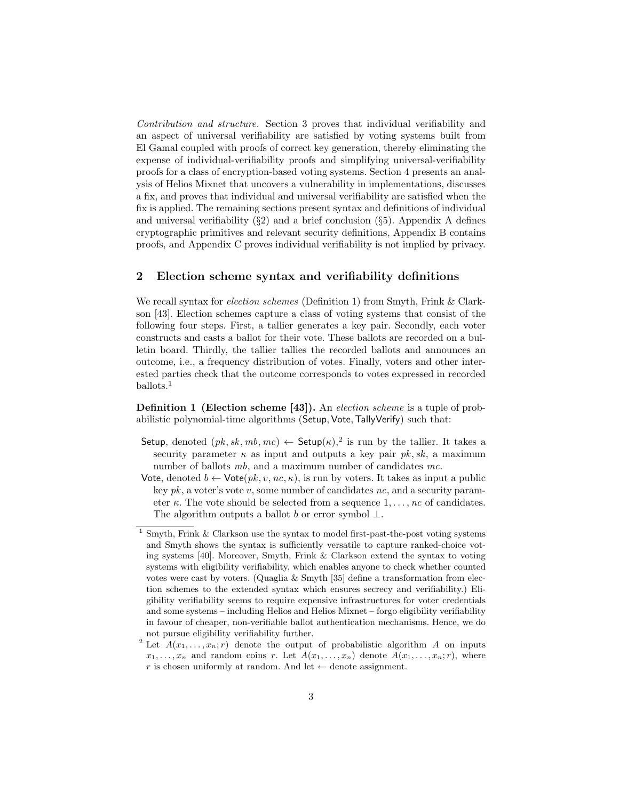Contribution and structure. Section 3 proves that individual verifiability and an aspect of universal verifiability are satisfied by voting systems built from El Gamal coupled with proofs of correct key generation, thereby eliminating the expense of individual-verifiability proofs and simplifying universal-verifiability proofs for a class of encryption-based voting systems. Section 4 presents an analysis of Helios Mixnet that uncovers a vulnerability in implementations, discusses a fix, and proves that individual and universal verifiability are satisfied when the fix is applied. The remaining sections present syntax and definitions of individual and universal verifiability  $(\S 2)$  and a brief conclusion  $(\S 5)$ . Appendix A defines cryptographic primitives and relevant security definitions, Appendix B contains proofs, and Appendix C proves individual verifiability is not implied by privacy.

### 2 Election scheme syntax and verifiability definitions

We recall syntax for *election schemes* (Definition 1) from Smyth, Frink & Clarkson [43]. Election schemes capture a class of voting systems that consist of the following four steps. First, a tallier generates a key pair. Secondly, each voter constructs and casts a ballot for their vote. These ballots are recorded on a bulletin board. Thirdly, the tallier tallies the recorded ballots and announces an outcome, i.e., a frequency distribution of votes. Finally, voters and other interested parties check that the outcome corresponds to votes expressed in recorded ballots.<sup>1</sup>

Definition 1 (Election scheme [43]). An election scheme is a tuple of probabilistic polynomial-time algorithms (Setup, Vote, TallyVerify) such that:

- Setup, denoted  $(pk, sk, mb, mc) \leftarrow$  Setup $(\kappa)$ ,<sup>2</sup> is run by the tallier. It takes a security parameter  $\kappa$  as input and outputs a key pair  $pk, sk$ , a maximum number of ballots mb, and a maximum number of candidates mc.
- Vote, denoted  $b \leftarrow \text{Vote}(pk, v, nc, \kappa)$ , is run by voters. It takes as input a public key  $pk$ , a voter's vote v, some number of candidates nc, and a security parameter  $\kappa$ . The vote should be selected from a sequence  $1, \ldots, nc$  of candidates. The algorithm outputs a ballot b or error symbol  $\perp$ .

Smyth, Frink & Clarkson use the syntax to model first-past-the-post voting systems and Smyth shows the syntax is sufficiently versatile to capture ranked-choice voting systems [40]. Moreover, Smyth, Frink & Clarkson extend the syntax to voting systems with eligibility verifiability, which enables anyone to check whether counted votes were cast by voters. (Quaglia  $&$  Smyth [35] define a transformation from election schemes to the extended syntax which ensures secrecy and verifiability.) Eligibility verifiability seems to require expensive infrastructures for voter credentials and some systems – including Helios and Helios Mixnet – forgo eligibility verifiability in favour of cheaper, non-verifiable ballot authentication mechanisms. Hence, we do not pursue eligibility verifiability further.

<sup>&</sup>lt;sup>2</sup> Let  $A(x_1, \ldots, x_n; r)$  denote the output of probabilistic algorithm A on inputs  $x_1, \ldots, x_n$  and random coins r. Let  $A(x_1, \ldots, x_n)$  denote  $A(x_1, \ldots, x_n; r)$ , where r is chosen uniformly at random. And let  $\leftarrow$  denote assignment.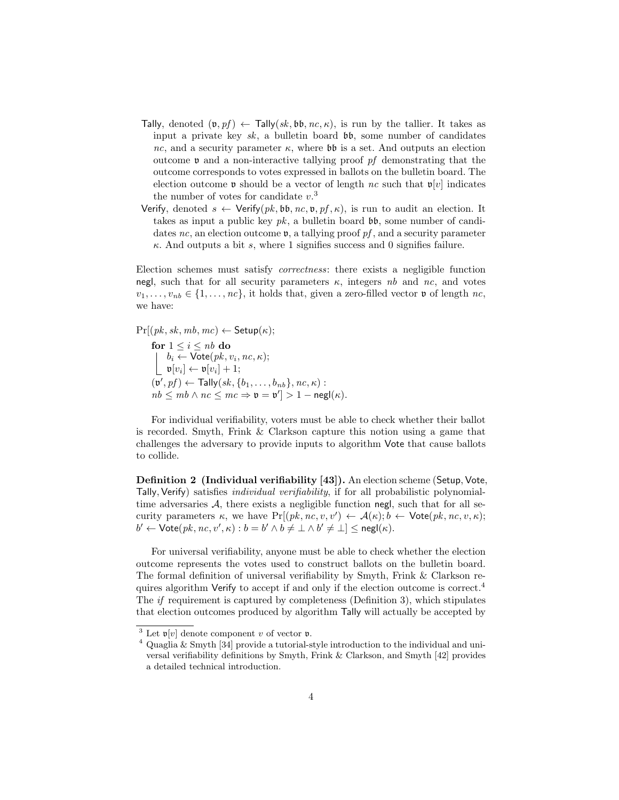- Tally, denoted  $(\mathfrak{v}, pf) \leftarrow \text{Tally}(sk, \mathfrak{bb}, nc, \kappa)$ , is run by the tallier. It takes as input a private key sk, a bulletin board  $\mathfrak{b}\mathfrak{b}$ , some number of candidates nc, and a security parameter  $\kappa$ , where  $\mathfrak{bb}$  is a set. And outputs an election outcome  $\nu$  and a non-interactive tallying proof pf demonstrating that the outcome corresponds to votes expressed in ballots on the bulletin board. The election outcome **v** should be a vector of length nc such that  $\mathfrak{v}[v]$  indicates the number of votes for candidate  $v^3$ .
- Verify, denoted  $s \leftarrow \text{Verify}(pk, bb, nc, v, pf, \kappa)$ , is run to audit an election. It takes as input a public key  $pk$ , a bulletin board  $bb$ , some number of candidates nc, an election outcome  $v$ , a tallying proof pf, and a security parameter  $\kappa$ . And outputs a bit s, where 1 signifies success and 0 signifies failure.

Election schemes must satisfy correctness: there exists a negligible function negl, such that for all security parameters  $\kappa$ , integers nb and nc, and votes  $v_1, \ldots, v_{nb} \in \{1, \ldots, nc\}$ , it holds that, given a zero-filled vector **v** of length nc, we have:

 $Pr[(pk, sk, mb, mc) \leftarrow$  Setup $(\kappa);$ 

for  $1 \leq i \leq nb$  do  $b_i \leftarrow \mathsf{Vote}(pk, v_i, nc, \kappa);$  $\mathfrak{v}[v_i] \leftarrow \mathfrak{v}[v_i] + 1;$  $(\mathfrak{v}', pf) \leftarrow \mathsf{Tally}(sk, \{b_1, \ldots, b_{nb}\}, nc, \kappa):$  $nb \leq mb \land nc \leq mc \Rightarrow \mathfrak{v} = \mathfrak{v}' > 1 - \mathsf{negl}(\kappa).$ 

For individual verifiability, voters must be able to check whether their ballot is recorded. Smyth, Frink & Clarkson capture this notion using a game that challenges the adversary to provide inputs to algorithm Vote that cause ballots to collide.

Definition 2 (Individual verifiability [43]). An election scheme (Setup, Vote, Tally, Verify) satisfies individual verifiability, if for all probabilistic polynomialtime adversaries  $A$ , there exists a negligible function negl, such that for all security parameters  $\kappa$ , we have  $Pr[(pk, nc, v, v') \leftarrow A(\kappa); b \leftarrow \text{Vote}(pk, nc, v, \kappa);$  $b' \leftarrow \mathsf{Vote}(pk, nc, v', \kappa) : b = b' \land b \neq \bot \land b' \neq \bot] \leq \mathsf{negl}(\kappa).$ 

For universal verifiability, anyone must be able to check whether the election outcome represents the votes used to construct ballots on the bulletin board. The formal definition of universal verifiability by Smyth, Frink & Clarkson requires algorithm Verify to accept if and only if the election outcome is correct.<sup>4</sup> The if requirement is captured by completeness (Definition 3), which stipulates that election outcomes produced by algorithm Tally will actually be accepted by

<sup>&</sup>lt;sup>3</sup> Let  $\mathfrak{v}[v]$  denote component v of vector **v**.

 $4 \text{ Quaglia} \& Smyth [34] \text{ provide a tutorial-style introduction to the individual and uni-}$ versal verifiability definitions by Smyth, Frink & Clarkson, and Smyth [42] provides a detailed technical introduction.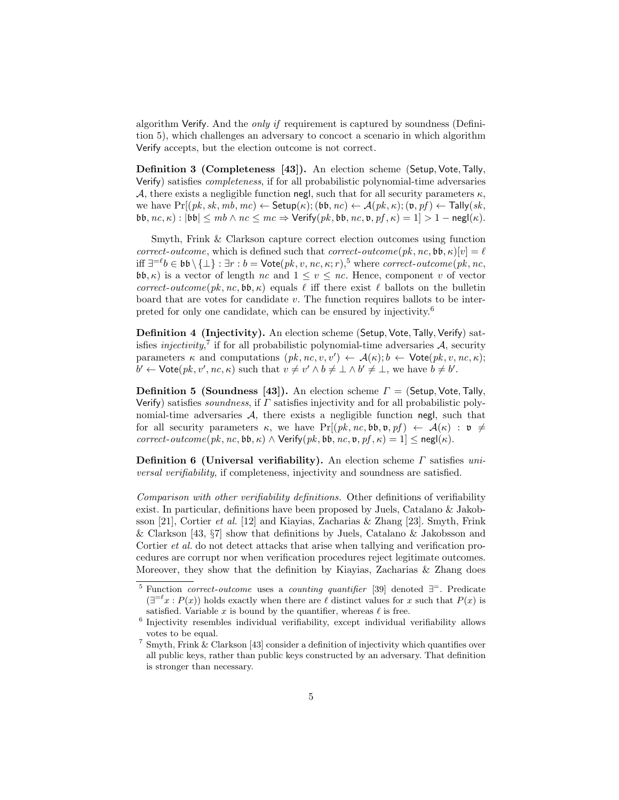algorithm Verify. And the only if requirement is captured by soundness (Definition 5), which challenges an adversary to concoct a scenario in which algorithm Verify accepts, but the election outcome is not correct.

Definition 3 (Completeness [43]). An election scheme (Setup, Vote,Tally, Verify) satisfies completeness, if for all probabilistic polynomial-time adversaries A, there exists a negligible function negl, such that for all security parameters  $\kappa$ , we have  $Pr[(pk, sk, mb, mc) \leftarrow$  Setup $(\kappa); (\mathfrak{bb}, nc) \leftarrow \mathcal{A}(pk, \kappa); (\mathfrak{v}, pf) \leftarrow$  Tally $(sk,$  $\mathfrak{bb}, \mathit{nc}, \kappa$  :  $|\mathfrak{bb}| \leq \mathit{mb} \wedge \mathit{nc} \leq \mathit{mc} \Rightarrow \mathsf{Verify}(\mathit{pk}, \mathfrak{bb}, \mathit{nc}, \mathfrak{v}, \mathit{pf}, \kappa) = 1] > 1 - \mathsf{negl}(\kappa)$ .

Smyth, Frink & Clarkson capture correct election outcomes using function correct-outcome, which is defined such that correct-outcome(pk, nc,  $\mathfrak{bb}, \kappa$ )[v] =  $\ell$ iff  $\exists^{= \ell} b \in \mathfrak{bb} \setminus \{\bot\} : \exists r : b = \mathsf{Vote}(pk, v, nc, \kappa; r),$ <sup>5</sup> where *correct-outcome*(*pk*, *nc*,  $\mathfrak{bb}, \kappa$ ) is a vector of length nc and  $1 \le v \le nc$ . Hence, component v of vector correct-outcome(pk, nc,  $b\mathfrak{b}, \kappa$ ) equals  $\ell$  iff there exist  $\ell$  ballots on the bulletin board that are votes for candidate  $v$ . The function requires ballots to be interpreted for only one candidate, which can be ensured by injectivity.<sup>6</sup>

Definition 4 (Injectivity). An election scheme (Setup, Vote, Tally, Verify) satisfies *injectivity*,<sup>7</sup> if for all probabilistic polynomial-time adversaries  $A$ , security parameters  $\kappa$  and computations  $(pk, nc, v, v') \leftarrow \mathcal{A}(\kappa); b \leftarrow \text{Vote}(pk, v, nc, \kappa);$  $b' \leftarrow \text{Vote}(pk, v', nc, \kappa)$  such that  $v \neq v' \wedge b \neq \bot \wedge b' \neq \bot$ , we have  $b \neq b'$ .

**Definition 5 (Soundness [43]).** An election scheme  $\Gamma =$  (Setup, Vote, Tally, Verify) satisfies soundness, if  $\Gamma$  satisfies injectivity and for all probabilistic polynomial-time adversaries  $A$ , there exists a negligible function negl, such that for all security parameters  $\kappa$ , we have Pr[ $(pk, nc, b\mathfrak{b}, \mathfrak{v}, pf) \leftarrow \mathcal{A}(\kappa) : \mathfrak{v} \neq$ correct-outcome(pk, nc,  $\mathfrak{bb}, \kappa$ )  $\wedge$  Verify(pk,  $\mathfrak{bb}, n_c, \mathfrak{v}, pf, \kappa$ ) = 1|  $\leq$  negl( $\kappa$ ).

Definition 6 (Universal verifiability). An election scheme  $\Gamma$  satisfies universal verifiability, if completeness, injectivity and soundness are satisfied.

Comparison with other verifiability definitions. Other definitions of verifiability exist. In particular, definitions have been proposed by Juels, Catalano & Jakobsson [21], Cortier *et al.* [12] and Kiayias, Zacharias & Zhang [23]. Smyth, Frink & Clarkson [43, §7] show that definitions by Juels, Catalano & Jakobsson and Cortier *et al.* do not detect attacks that arise when tallying and verification procedures are corrupt nor when verification procedures reject legitimate outcomes. Moreover, they show that the definition by Kiayias, Zacharias  $\&$  Zhang does

<sup>&</sup>lt;sup>5</sup> Function *correct-outcome* uses a *counting quantifier* [39] denoted  $\exists$ <sup>=</sup>. Predicate  $(\exists^{=\ell} x : P(x))$  holds exactly when there are  $\ell$  distinct values for x such that  $P(x)$  is satisfied. Variable x is bound by the quantifier, whereas  $\ell$  is free.

<sup>&</sup>lt;sup>6</sup> Injectivity resembles individual verifiability, except individual verifiability allows votes to be equal.

 $^7$  Smyth, Frink & Clarkson [43] consider a definition of injectivity which quantifies over all public keys, rather than public keys constructed by an adversary. That definition is stronger than necessary.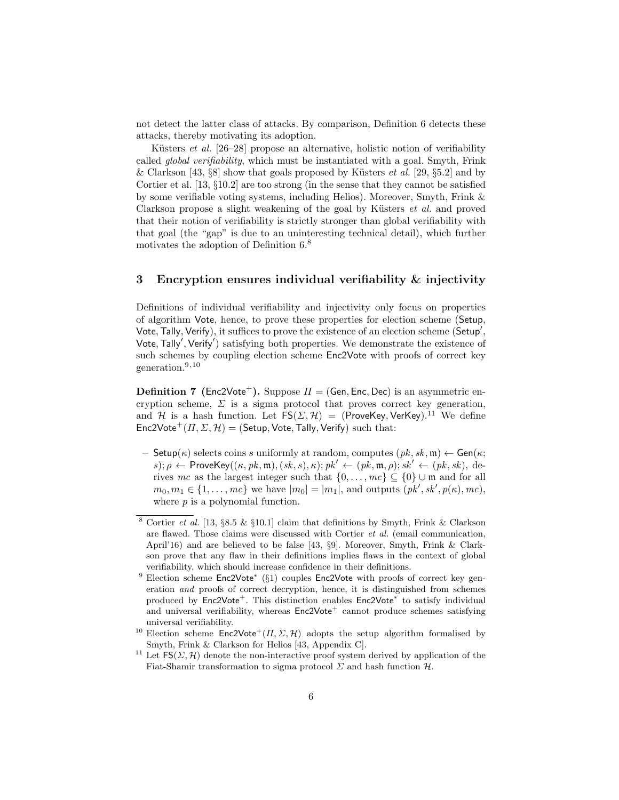not detect the latter class of attacks. By comparison, Definition 6 detects these attacks, thereby motivating its adoption.

Küsters et al.  $[26-28]$  propose an alternative, holistic notion of verifiability called global verifiability, which must be instantiated with a goal. Smyth, Frink & Clarkson [43,  $\S 8$ ] show that goals proposed by Küsters *et al.* [29,  $\S 5.2$ ] and by Cortier et al. [13,  $\S 10.2$ ] are too strong (in the sense that they cannot be satisfied by some verifiable voting systems, including Helios). Moreover, Smyth, Frink & Clarkson propose a slight weakening of the goal by Küsters  $et \ al.$  and proved that their notion of verifiability is strictly stronger than global verifiability with that goal (the "gap" is due to an uninteresting technical detail), which further motivates the adoption of Definition 6.<sup>8</sup>

### 3 Encryption ensures individual verifiability & injectivity

Definitions of individual verifiability and injectivity only focus on properties of algorithm Vote, hence, to prove these properties for election scheme (Setup, Vote, Tally, Verify), it suffices to prove the existence of an election scheme (Setup', Vote, Tally', Verify') satisfying both properties. We demonstrate the existence of such schemes by coupling election scheme Enc2Vote with proofs of correct key generation.9,10

**Definition 7** (Enc2Vote<sup>+</sup>). Suppose  $\Pi$  = (Gen, Enc, Dec) is an asymmetric encryption scheme,  $\Sigma$  is a sigma protocol that proves correct key generation, and H is a hash function. Let  $FS(\Sigma, \mathcal{H}) = (ProveKey, VerKey)$ <sup>11</sup> We define  $Enc2Vote^{+}(H, \Sigma, \mathcal{H}) = (Setup, Vote, Tally, Verify)$  such that:

– Setup( $\kappa$ ) selects coins s uniformly at random, computes  $(pk, sk, m) \leftarrow Gen(\kappa;$ s);  $\rho \leftarrow$  ProveKey(( $\kappa, pk, \mathfrak{m}$ ),  $(sk, s)$ ,  $\kappa$ );  $pk' \leftarrow (pk, \mathfrak{m}, \rho)$ ;  $sk' \leftarrow (pk, sk)$ , derives mc as the largest integer such that  $\{0, \ldots, mc\} \subseteq \{0\} \cup \mathfrak{m}$  and for all  $m_0, m_1 \in \{1, \ldots, mc\}$  we have  $|m_0| = |m_1|$ , and outputs  $(pk', sk', p(\kappa), mc)$ , where  $p$  is a polynomial function.

<sup>&</sup>lt;sup>8</sup> Cortier et al. [13, §8.5 & §10.1] claim that definitions by Smyth, Frink & Clarkson are flawed. Those claims were discussed with Cortier et al. (email communication, April'16) and are believed to be false [43, §9]. Moreover, Smyth, Frink & Clarkson prove that any flaw in their definitions implies flaws in the context of global verifiability, which should increase confidence in their definitions.

<sup>&</sup>lt;sup>9</sup> Election scheme Enc2Vote<sup>\*</sup> (§1) couples Enc2Vote with proofs of correct key generation and proofs of correct decryption, hence, it is distinguished from schemes produced by Enc2Vote<sup>+</sup>. This distinction enables Enc2Vote<sup>\*</sup> to satisfy individual and universal verifiability, whereas  $Enc2Vote<sup>+</sup>$  cannot produce schemes satisfying universal verifiability.

<sup>&</sup>lt;sup>10</sup> Election scheme  $Enc2Vote^{+}(H, \Sigma, \mathcal{H})$  adopts the setup algorithm formalised by Smyth, Frink & Clarkson for Helios [43, Appendix C].

<sup>&</sup>lt;sup>11</sup> Let  $FS(\Sigma, \mathcal{H})$  denote the non-interactive proof system derived by application of the Fiat-Shamir transformation to sigma protocol  $\Sigma$  and hash function  $\mathcal{H}$ .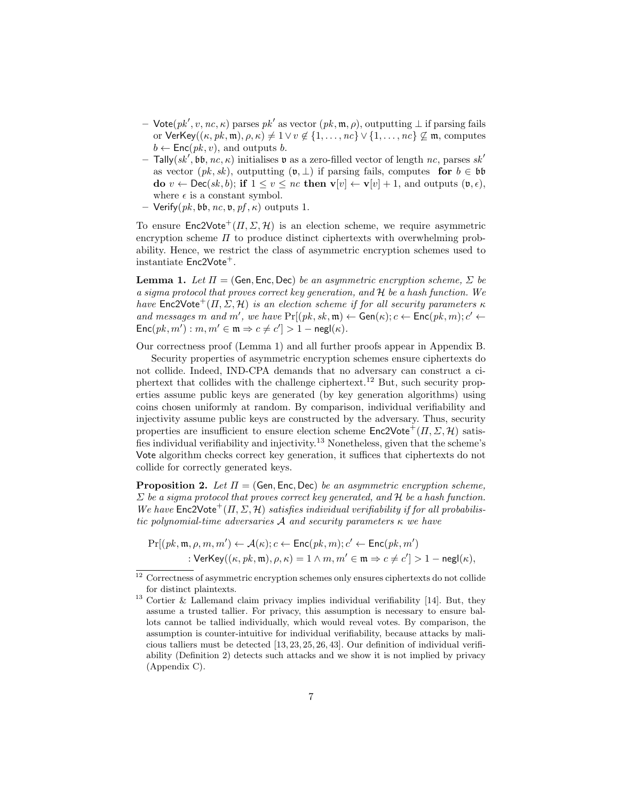- Vote $(pk', v, nc, \kappa)$  parses  $pk'$  as vector  $(pk, \mathfrak{m}, \rho)$ , outputting  $\bot$  if parsing fails or VerKey( $(\kappa, pk, \mathfrak{m}), \rho, \kappa$ )  $\neq 1 \vee v \notin \{1, \ldots, nc\} \vee \{1, \ldots, nc\} \not\subseteq \mathfrak{m}$ , computes  $b \leftarrow \mathsf{Enc}(pk, v)$ , and outputs b.
- $-$  Tally(sk', bb, nc,  $\kappa$ ) initialises v as a zero-filled vector of length nc, parses sk' as vector  $(pk, sk)$ , outputting  $(\mathfrak{v}, \perp)$  if parsing fails, computes for  $b \in \mathfrak{bb}$ do  $v \leftarrow \text{Dec}(sk, b)$ ; if  $1 \le v \le nc$  then  $\mathbf{v}[v] \leftarrow \mathbf{v}[v] + 1$ , and outputs  $(\mathfrak{v}, \epsilon)$ , where  $\epsilon$  is a constant symbol.
- $-$  Verify(*pk*, bb, nc,  $\nu$ , pf,  $\kappa$ ) outputs 1.

To ensure  $Enc2Vote^{+}(H, \Sigma, \mathcal{H})$  is an election scheme, we require asymmetric encryption scheme  $\Pi$  to produce distinct ciphertexts with overwhelming probability. Hence, we restrict the class of asymmetric encryption schemes used to instantiate  $Enc2Vote<sup>+</sup>$ .

**Lemma 1.** Let  $\Pi = (\mathsf{Gen}, \mathsf{Enc}, \mathsf{Dec})$  be an asymmetric encryption scheme,  $\Sigma$  be a sigma protocol that proves correct key generation, and  $H$  be a hash function. We have  $\text{Enc2Vote}^+(II, \Sigma, \mathcal{H})$  is an election scheme if for all security parameters  $\kappa$ and messages m and m', we have  $Pr[(pk, sk, m) \leftarrow Gen(\kappa); c \leftarrow Enc(pk, m); c' \leftarrow$  $\mathsf{Enc}(pk, m') : m, m' \in \mathfrak{m} \Rightarrow c \neq c' \geq 1 - \mathsf{negl}(\kappa).$ 

Our correctness proof (Lemma 1) and all further proofs appear in Appendix B.

Security properties of asymmetric encryption schemes ensure ciphertexts do not collide. Indeed, IND-CPA demands that no adversary can construct a ciphertext that collides with the challenge ciphertext.<sup>12</sup> But, such security properties assume public keys are generated (by key generation algorithms) using coins chosen uniformly at random. By comparison, individual verifiability and injectivity assume public keys are constructed by the adversary. Thus, security properties are insufficient to ensure election scheme  $Enc2Vote^{+}(H, \Sigma, \mathcal{H})$  satisfies individual verifiability and injectivity.<sup>13</sup> Nonetheless, given that the scheme's Vote algorithm checks correct key generation, it suffices that ciphertexts do not collide for correctly generated keys.

**Proposition 2.** Let  $\Pi$  = (Gen, Enc, Dec) be an asymmetric encryption scheme,  $\Sigma$  be a sigma protocol that proves correct key generated, and H be a hash function. We have  $\mathsf{Enc2Vote}^+(H, \Sigma, \mathcal{H})$  satisfies individual verifiability if for all probabilistic polynomial-time adversaries A and security parameters  $\kappa$  we have

$$
\Pr[(pk, \mathfrak{m}, \rho, m, m') \leftarrow \mathcal{A}(\kappa); c \leftarrow \mathsf{Enc}(pk, m); c' \leftarrow \mathsf{Enc}(pk, m')\\ \hspace*{1.5em}:\mathsf{VerKey}((\kappa, pk, \mathfrak{m}), \rho, \kappa) = 1 \wedge m, m' \in \mathfrak{m} \Rightarrow c \neq c'] > 1 - \mathsf{negl}(\kappa),
$$

<sup>&</sup>lt;sup>12</sup> Correctness of asymmetric encryption schemes only ensures ciphertexts do not collide for distinct plaintexts.

<sup>&</sup>lt;sup>13</sup> Cortier & Lallemand claim privacy implies individual verifiability [14]. But, they assume a trusted tallier. For privacy, this assumption is necessary to ensure ballots cannot be tallied individually, which would reveal votes. By comparison, the assumption is counter-intuitive for individual verifiability, because attacks by malicious talliers must be detected [13, 23, 25, 26, 43]. Our definition of individual verifiability (Definition 2) detects such attacks and we show it is not implied by privacy (Appendix C).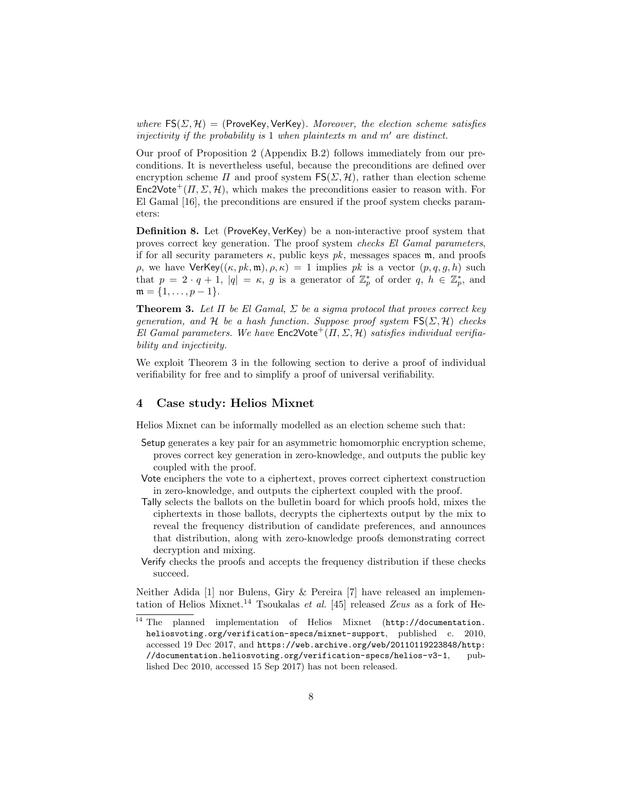where  $FS(\Sigma, \mathcal{H}) =$  (ProveKey, VerKey). Moreover, the election scheme satisfies injectivity if the probability is 1 when plaintexts m and  $m'$  are distinct.

Our proof of Proposition 2 (Appendix B.2) follows immediately from our preconditions. It is nevertheless useful, because the preconditions are defined over encryption scheme  $\Pi$  and proof system  $FS(\Sigma, \mathcal{H})$ , rather than election scheme  $Enc2Vote^{+}(H, \Sigma, \mathcal{H})$ , which makes the preconditions easier to reason with. For El Gamal [16], the preconditions are ensured if the proof system checks parameters:

Definition 8. Let (ProveKey, VerKey) be a non-interactive proof system that proves correct key generation. The proof system checks El Gamal parameters, if for all security parameters  $\kappa$ , public keys  $pk$ , messages spaces m, and proofs ρ, we have VerKey( $(\kappa, pk, \mathfrak{m}), \rho, \kappa$ ) = 1 implies pk is a vector  $(p, q, q, h)$  such that  $p = 2 \cdot q + 1$ ,  $|q| = \kappa$ , g is a generator of  $\mathbb{Z}_p^*$  of order  $q, h \in \mathbb{Z}_p^*$ , and  $\mathfrak{m} = \{1, \ldots, p-1\}.$ 

**Theorem 3.** Let  $\Pi$  be El Gamal,  $\Sigma$  be a sigma protocol that proves correct key generation, and H be a hash function. Suppose proof system  $FS(\Sigma, \mathcal{H})$  checks El Gamal parameters. We have  $\mathsf{Enc2Vote}^+(H, \Sigma, \mathcal{H})$  satisfies individual verifiability and injectivity.

We exploit Theorem 3 in the following section to derive a proof of individual verifiability for free and to simplify a proof of universal verifiability.

### 4 Case study: Helios Mixnet

Helios Mixnet can be informally modelled as an election scheme such that:

- Setup generates a key pair for an asymmetric homomorphic encryption scheme, proves correct key generation in zero-knowledge, and outputs the public key coupled with the proof.
- Vote enciphers the vote to a ciphertext, proves correct ciphertext construction in zero-knowledge, and outputs the ciphertext coupled with the proof.
- Tally selects the ballots on the bulletin board for which proofs hold, mixes the ciphertexts in those ballots, decrypts the ciphertexts output by the mix to reveal the frequency distribution of candidate preferences, and announces that distribution, along with zero-knowledge proofs demonstrating correct decryption and mixing.
- Verify checks the proofs and accepts the frequency distribution if these checks succeed.

Neither Adida [1] nor Bulens, Giry & Pereira [7] have released an implementation of Helios Mixnet.<sup>14</sup> Tsoukalas et al. [45] released Zeus as a fork of He-

 $\overline{14}$  The planned implementation of Helios Mixnet (http://documentation. heliosvoting.org/verification-specs/mixnet-support, published c. 2010, accessed 19 Dec 2017, and https://web.archive.org/web/20110119223848/http: //documentation.heliosvoting.org/verification-specs/helios-v3-1, published Dec 2010, accessed 15 Sep 2017) has not been released.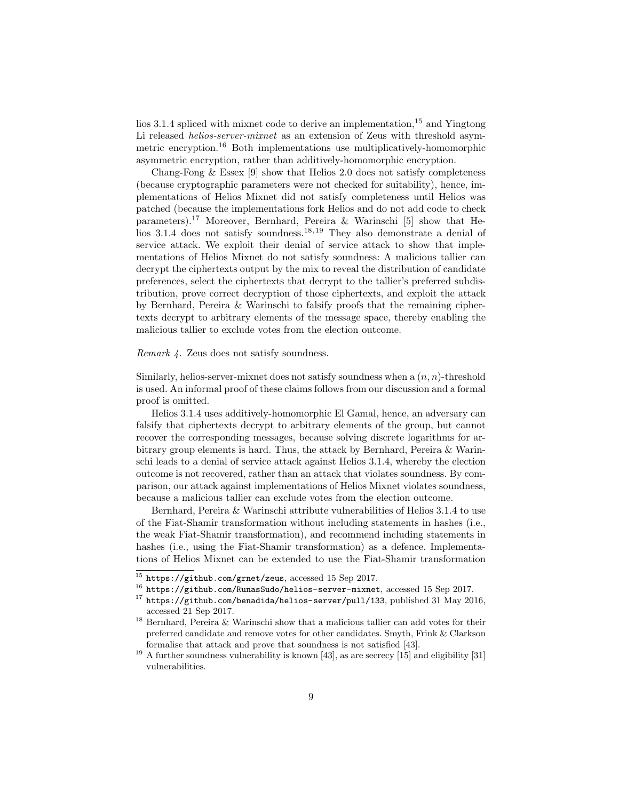lios 3.1.4 spliced with mixnet code to derive an implementation,  $15$  and Yingtong Li released *helios-server-mixnet* as an extension of Zeus with threshold asymmetric encryption.<sup>16</sup> Both implementations use multiplicatively-homomorphic asymmetric encryption, rather than additively-homomorphic encryption.

Chang-Fong & Essex [9] show that Helios 2.0 does not satisfy completeness (because cryptographic parameters were not checked for suitability), hence, implementations of Helios Mixnet did not satisfy completeness until Helios was patched (because the implementations fork Helios and do not add code to check parameters).<sup>17</sup> Moreover, Bernhard, Pereira & Warinschi [5] show that Helios 3.1.4 does not satisfy soundness.<sup>18,19</sup> They also demonstrate a denial of service attack. We exploit their denial of service attack to show that implementations of Helios Mixnet do not satisfy soundness: A malicious tallier can decrypt the ciphertexts output by the mix to reveal the distribution of candidate preferences, select the ciphertexts that decrypt to the tallier's preferred subdistribution, prove correct decryption of those ciphertexts, and exploit the attack by Bernhard, Pereira & Warinschi to falsify proofs that the remaining ciphertexts decrypt to arbitrary elements of the message space, thereby enabling the malicious tallier to exclude votes from the election outcome.

#### Remark 4. Zeus does not satisfy soundness.

Similarly, helios-server-mixnet does not satisfy soundness when a  $(n, n)$ -threshold is used. An informal proof of these claims follows from our discussion and a formal proof is omitted.

Helios 3.1.4 uses additively-homomorphic El Gamal, hence, an adversary can falsify that ciphertexts decrypt to arbitrary elements of the group, but cannot recover the corresponding messages, because solving discrete logarithms for arbitrary group elements is hard. Thus, the attack by Bernhard, Pereira & Warinschi leads to a denial of service attack against Helios 3.1.4, whereby the election outcome is not recovered, rather than an attack that violates soundness. By comparison, our attack against implementations of Helios Mixnet violates soundness, because a malicious tallier can exclude votes from the election outcome.

Bernhard, Pereira & Warinschi attribute vulnerabilities of Helios 3.1.4 to use of the Fiat-Shamir transformation without including statements in hashes (i.e., the weak Fiat-Shamir transformation), and recommend including statements in hashes (i.e., using the Fiat-Shamir transformation) as a defence. Implementations of Helios Mixnet can be extended to use the Fiat-Shamir transformation

 $^{15}$  https://github.com/grnet/zeus, accessed 15 Sep 2017.

 $^{16}$  https://github.com/RunasSudo/helios-server-mixnet, accessed 15 Sep 2017.

<sup>17</sup> https://github.com/benadida/helios-server/pull/133, published 31 May 2016, accessed 21 Sep 2017.

<sup>18</sup> Bernhard, Pereira & Warinschi show that a malicious tallier can add votes for their preferred candidate and remove votes for other candidates. Smyth, Frink & Clarkson formalise that attack and prove that soundness is not satisfied [43].

 $19$  A further soundness vulnerability is known [43], as are secrecy [15] and eligibility [31] vulnerabilities.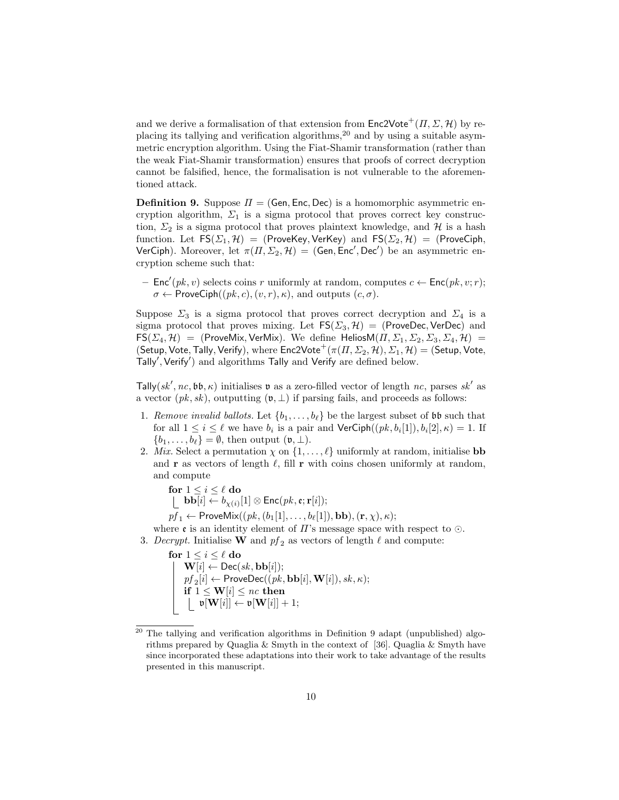and we derive a formalisation of that extension from  $\mathsf{Enc}2\mathsf{Vote}^+(I, \Sigma, \mathcal{H})$  by replacing its tallying and verification algorithms,<sup>20</sup> and by using a suitable asymmetric encryption algorithm. Using the Fiat-Shamir transformation (rather than the weak Fiat-Shamir transformation) ensures that proofs of correct decryption cannot be falsified, hence, the formalisation is not vulnerable to the aforementioned attack.

**Definition 9.** Suppose  $\Pi = (Gen, Enc, Dec)$  is a homomorphic asymmetric encryption algorithm,  $\Sigma_1$  is a sigma protocol that proves correct key construction,  $\Sigma_2$  is a sigma protocol that proves plaintext knowledge, and H is a hash function. Let  $FS(\Sigma_1, \mathcal{H}) = (ProveKey, VerKey)$  and  $FS(\Sigma_2, \mathcal{H}) = (ProveCiph,$ VerCiph). Moreover, let  $\pi(\Pi, \Sigma_2, \mathcal{H}) = (Gen, Enc', Dec')$  be an asymmetric encryption scheme such that:

-  $Enc'(pk, v)$  selects coins r uniformly at random, computes  $c \leftarrow Enc(pk, v; r);$  $\sigma \leftarrow$  ProveCiph( $(pk, c), (v, r), \kappa$ ), and outputs  $(c, \sigma)$ .

Suppose  $\Sigma_3$  is a sigma protocol that proves correct decryption and  $\Sigma_4$  is a sigma protocol that proves mixing. Let  $FS(\Sigma_3, \mathcal{H}) = (ProveDec, VerDec)$  and  $FS(\Sigma_4, \mathcal{H}) = (ProveMix, VerMix)$ . We define Helios $M(\Pi, \Sigma_1, \Sigma_2, \Sigma_3, \Sigma_4, \mathcal{H}) =$ (Setup, Vote, Tally, Verify), where  $Enc2Vote^{+}(\pi(\Pi,\Sigma_2,\mathcal{H}),\Sigma_1,\mathcal{H}) =$  (Setup, Vote, Tally', Verify') and algorithms Tally and Verify are defined below.

Tally(sk', nc, bb,  $\kappa$ ) initialises v as a zero-filled vector of length nc, parses sk' as a vector  $(pk, sk)$ , outputting  $(\mathfrak{v}, \perp)$  if parsing fails, and proceeds as follows:

- 1. Remove invalid ballots. Let  $\{b_1, \ldots, b_\ell\}$  be the largest subset of bb such that for all  $1 \leq i \leq \ell$  we have  $b_i$  is a pair and  $\mathsf{VerCiph}((pk, b_i[1]), b_i[2], \kappa) = 1$ . If  ${b_1, \ldots, b_\ell} = \emptyset$ , then output  $(\mathfrak{v}, \perp)$ .
- 2. Mix. Select a permutation  $\chi$  on  $\{1, \ldots, \ell\}$  uniformly at random, initialise **bb** and r as vectors of length  $\ell$ , fill r with coins chosen uniformly at random, and compute

for  $1 \leq i \leq \ell$  do  $\mathbf{bb}[i] \leftarrow b_{\chi(i)}[1] \otimes \mathsf{Enc}(pk, \mathfrak{e}; \mathbf{r}[i]);$ 

 $pf_1 \leftarrow \mathsf{ProveMix}((pk, (b_1[1], \ldots, b_{\ell}[1]), \mathbf{bb}), (\mathbf{r}, \chi), \kappa);$ 

- where  $\mathfrak e$  is an identity element of  $\Pi$ 's message space with respect to  $\odot$ .
- 3. Decrypt. Initialise **W** and  $pf_2$  as vectors of length  $\ell$  and compute:

for  $1 \leq i \leq \ell$  do  $\textbf{W}[i] \leftarrow \textsf{Dec}(\textit{sk}, \textbf{bb}[i]);$  $pf_2[i] \leftarrow \mathsf{ProveDec}((pk, \mathbf{bb}[i], \mathbf{W}[i]), sk, \kappa);$ if  $1 \leq {\bf W}[i] \leq nc$  then  $\mathfrak{v}[\mathbf{W}[i]] \leftarrow \mathfrak{v}[\mathbf{W}[i]] + 1;$ 

 $20$  The tallying and verification algorithms in Definition 9 adapt (unpublished) algorithms prepared by Quaglia & Smyth in the context of [36]. Quaglia & Smyth have since incorporated these adaptations into their work to take advantage of the results presented in this manuscript.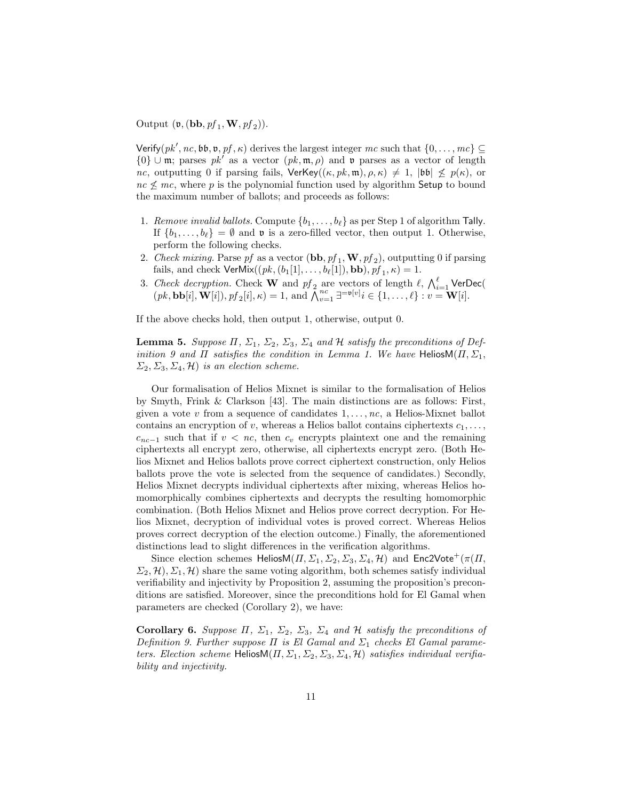Output  $(\mathfrak{v}, (\textbf{bb}, pf_1, \mathbf{W}, pf_2)).$ 

Verify( $pk', nc, bb, v, pf, \kappa$ ) derives the largest integer mc such that  $\{0, \ldots, mc\} \subseteq$  ${0}$  ∪ m; parses pk' as a vector  $(pk, m, \rho)$  and v parses as a vector of length nc, outputting 0 if parsing fails,  $\text{VerKey}((\kappa, pk, \mathfrak{m}), \rho, \kappa) \neq 1$ ,  $|\mathfrak{bb}| \not\leq p(\kappa)$ , or  $nc \nless m$ , where p is the polynomial function used by algorithm Setup to bound the maximum number of ballots; and proceeds as follows:

- 1. Remove invalid ballots. Compute  $\{b_1, \ldots, b_\ell\}$  as per Step 1 of algorithm Tally. If  $\{b_1, \ldots, b_\ell\} = \emptyset$  and **v** is a zero-filled vector, then output 1. Otherwise, perform the following checks.
- 2. Check mixing. Parse pf as a vector  $(\mathbf{bb}, pf_1, \mathbf{W}, pf_2)$ , outputting 0 if parsing fails, and check  $\mathsf{VerMix}((pk, (b_1[1], \ldots, b_{\ell}[1]), \mathbf{bb}), pf_1, \kappa) = 1.$
- 3. Check decryption. Check **W** and  $pf_2$  are vectors of length  $\ell$ ,  $\bigwedge_{i=1}^{\ell}$  VerDec(  $(pk, \mathbf{bb}[i], \mathbf{W}[i]), pf_2[i], \kappa) = 1$ , and  $\overline{\bigwedge}_{v=1}^{nc} \exists^{=\mathfrak{v}[v]} i \in \{1, \ldots, \ell\} : v = \mathbf{W}[i].$

If the above checks hold, then output 1, otherwise, output 0.

**Lemma 5.** Suppose  $\Pi$ ,  $\Sigma_1$ ,  $\Sigma_2$ ,  $\Sigma_3$ ,  $\Sigma_4$  and  $\mathcal H$  satisfy the preconditions of Definition 9 and  $\Pi$  satisfies the condition in Lemma 1. We have HeliosM $(\Pi, \Sigma_1,$  $\Sigma_2, \Sigma_3, \Sigma_4, \mathcal{H}$  is an election scheme.

Our formalisation of Helios Mixnet is similar to the formalisation of Helios by Smyth, Frink & Clarkson [43]. The main distinctions are as follows: First, given a vote  $v$  from a sequence of candidates  $1, \ldots, nc$ , a Helios-Mixnet ballot contains an encryption of v, whereas a Helios ballot contains ciphertexts  $c_1, \ldots$ ,  $c_{nc-1}$  such that if  $v < nc$ , then  $c_v$  encrypts plaintext one and the remaining ciphertexts all encrypt zero, otherwise, all ciphertexts encrypt zero. (Both Helios Mixnet and Helios ballots prove correct ciphertext construction, only Helios ballots prove the vote is selected from the sequence of candidates.) Secondly, Helios Mixnet decrypts individual ciphertexts after mixing, whereas Helios homomorphically combines ciphertexts and decrypts the resulting homomorphic combination. (Both Helios Mixnet and Helios prove correct decryption. For Helios Mixnet, decryption of individual votes is proved correct. Whereas Helios proves correct decryption of the election outcome.) Finally, the aforementioned distinctions lead to slight differences in the verification algorithms.

Since election schemes HeliosM $(\Pi, \Sigma_1, \Sigma_2, \Sigma_3, \Sigma_4, \mathcal{H})$  and Enc2Vote<sup>+</sup> $(\pi(\Pi,$  $(\Sigma_2, \mathcal{H}), \Sigma_1, \mathcal{H})$  share the same voting algorithm, both schemes satisfy individual verifiability and injectivity by Proposition 2, assuming the proposition's preconditions are satisfied. Moreover, since the preconditions hold for El Gamal when parameters are checked (Corollary 2), we have:

Corollary 6. Suppose  $\Pi$ ,  $\Sigma_1$ ,  $\Sigma_2$ ,  $\Sigma_3$ ,  $\Sigma_4$  and  $H$  satisfy the preconditions of Definition 9. Further suppose  $\Pi$  is El Gamal and  $\Sigma_1$  checks El Gamal parameters. Election scheme Helios $M(\Pi, \Sigma_1, \Sigma_2, \Sigma_3, \Sigma_4, \mathcal{H})$  satisfies individual verifiability and injectivity.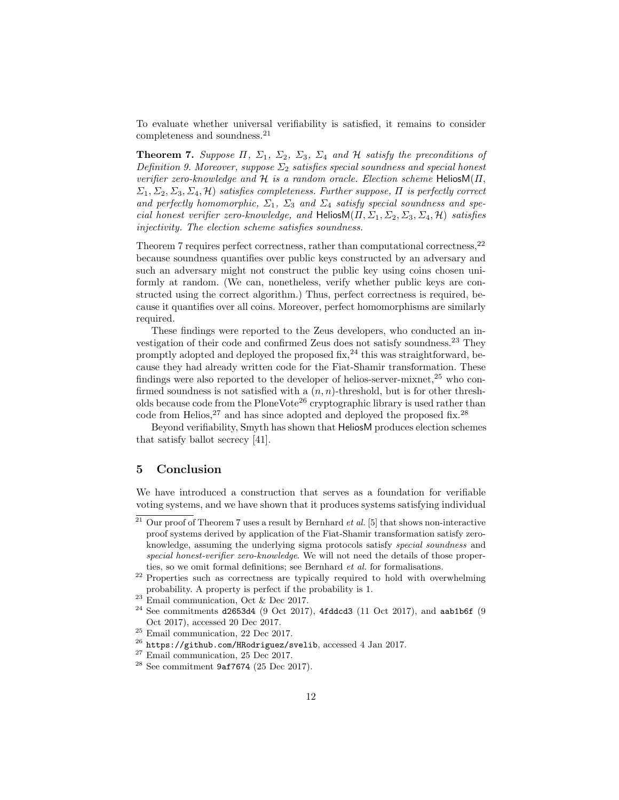To evaluate whether universal verifiability is satisfied, it remains to consider completeness and soundness.<sup>21</sup>

**Theorem 7.** Suppose  $\Pi$ ,  $\Sigma_1$ ,  $\Sigma_2$ ,  $\Sigma_3$ ,  $\Sigma_4$  and  $\mathcal H$  satisfy the preconditions of Definition 9. Moreover, suppose  $\Sigma_2$  satisfies special soundness and special honest verifier zero-knowledge and  $H$  is a random oracle. Election scheme HeliosM( $\Pi$ ,  $\Sigma_1, \Sigma_2, \Sigma_3, \Sigma_4, \mathcal{H}$  satisfies completeness. Further suppose,  $\Pi$  is perfectly correct and perfectly homomorphic,  $\Sigma_1$ ,  $\Sigma_3$  and  $\Sigma_4$  satisfy special soundness and special honest verifier zero-knowledge, and HeliosM( $\Pi$ ,  $\Sigma_1$ ,  $\Sigma_2$ ,  $\Sigma_3$ ,  $\Sigma_4$ ,  $\mathcal{H}$ ) satisfies injectivity. The election scheme satisfies soundness.

Theorem 7 requires perfect correctness, rather than computational correctness,  $^{22}$ because soundness quantifies over public keys constructed by an adversary and such an adversary might not construct the public key using coins chosen uniformly at random. (We can, nonetheless, verify whether public keys are constructed using the correct algorithm.) Thus, perfect correctness is required, because it quantifies over all coins. Moreover, perfect homomorphisms are similarly required.

These findings were reported to the Zeus developers, who conducted an investigation of their code and confirmed Zeus does not satisfy soundness.<sup>23</sup> They promptly adopted and deployed the proposed  $fix<sup>24</sup>$ , this was straightforward, because they had already written code for the Fiat-Shamir transformation. These findings were also reported to the developer of helios-server-mixnet,  $2<sup>5</sup>$  who confirmed soundness is not satisfied with a  $(n, n)$ -threshold, but is for other thresholds because code from the PloneVote<sup>26</sup> cryptographic library is used rather than code from Helios,  $27$  and has since adopted and deployed the proposed fix.  $28$ 

Beyond verifiability, Smyth has shown that HeliosM produces election schemes that satisfy ballot secrecy [41].

#### 5 Conclusion

We have introduced a construction that serves as a foundation for verifiable voting systems, and we have shown that it produces systems satisfying individual

<sup>&</sup>lt;sup>21</sup> Our proof of Theorem 7 uses a result by Bernhard *et al.* [5] that shows non-interactive proof systems derived by application of the Fiat-Shamir transformation satisfy zeroknowledge, assuming the underlying sigma protocols satisfy special soundness and special honest-verifier zero-knowledge. We will not need the details of those properties, so we omit formal definitions; see Bernhard et al. for formalisations.

<sup>&</sup>lt;sup>22</sup> Properties such as correctness are typically required to hold with overwhelming probability. A property is perfect if the probability is 1.

 $23$  Email communication, Oct & Dec 2017.

 $24$  See commitments d2653d4 (9 Oct 2017), 4fddcd3 (11 Oct 2017), and aab1b6f (9 Oct 2017), accessed 20 Dec 2017.

<sup>&</sup>lt;sup>25</sup> Email communication, 22 Dec 2017.

<sup>26</sup> https://github.com/HRodriguez/svelib, accessed 4 Jan 2017.

<sup>&</sup>lt;sup>27</sup> Email communication, 25 Dec 2017.

<sup>28</sup> See commitment 9af7674 (25 Dec 2017).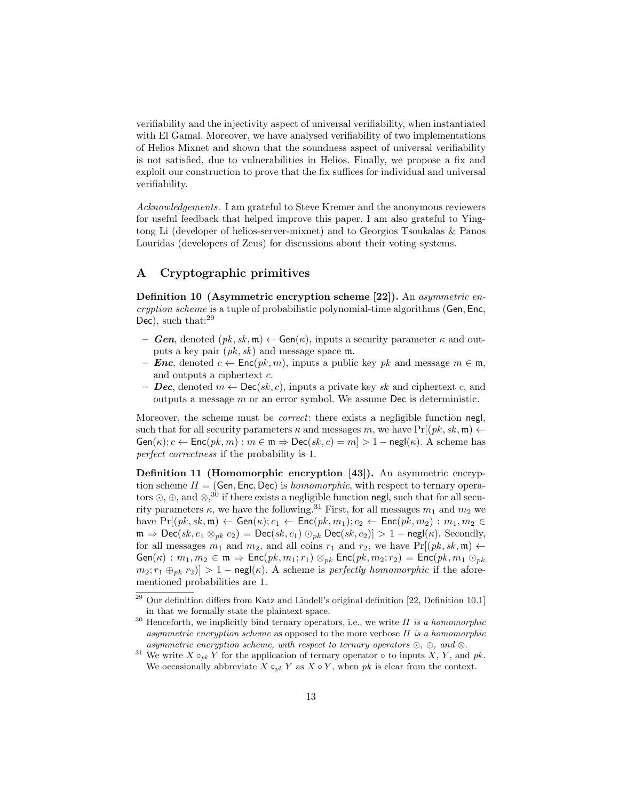verifiability and the injectivity aspect of universal verifiability, when instantiated with El Gamal. Moreover, we have analysed verifiability of two implementations of Helios Mixnet and shown that the soundness aspect of universal verifiability is not satisfied, due to vulnerabilities in Helios. Finally, we propose a fix and exploit our construction to prove that the fix suffices for individual and universal verifiability.

Acknowledgements. I am grateful to Steve Kremer and the anonymous reviewers for useful feedback that helped improve this paper. I am also grateful to Yingtong Li (developer of helios-server-mixnet) and to Georgios Tsoukalas & Panos Louridas (developers of Zeus) for discussions about their voting systems.

## A Cryptographic primitives

Definition 10 (Asymmetric encryption scheme [22]). An asymmetric encryption scheme is a tuple of probabilistic polynomial-time algorithms (Gen, Enc, Dec), such that:<sup>29</sup>

- Gen, denoted  $(pk, sk, \mathfrak{m}) \leftarrow \mathsf{Gen}(\kappa)$ , inputs a security parameter  $\kappa$  and outputs a key pair  $(pk, sk)$  and message space m.
- **Enc**, denoted  $c \leftarrow \text{Enc}(pk, m)$ , inputs a public key pk and message  $m \in \mathfrak{m}$ , and outputs a ciphertext c.
- Dec, denoted  $m \leftarrow \text{Dec}(sk, c)$ , inputs a private key sk and ciphertext c, and outputs a message  $m$  or an error symbol. We assume Dec is deterministic.

Moreover, the scheme must be *correct*: there exists a negligible function negl, such that for all security parameters  $\kappa$  and messages m, we have Pr[ $(pk, sk, m) \leftarrow$  $Gen(\kappa); c \leftarrow Enc(pk, m) : m \in \mathfrak{m} \Rightarrow Dec(sk, c) = m$  > 1 – negl( $\kappa$ ). A scheme has perfect correctness if the probability is 1.

Definition 11 (Homomorphic encryption [43]). An asymmetric encryption scheme  $\Pi = (Gen, Enc, Dec)$  is *homomorphic*, with respect to ternary operators  $\odot$ ,  $\oplus$ , and  $\otimes$ ,<sup>30</sup> if there exists a negligible function negl, such that for all security parameters  $\kappa$ , we have the following.<sup>31</sup> First, for all messages  $m_1$  and  $m_2$  we have  $Pr[(pk, sk, m) \leftarrow Gen(\kappa); c_1 \leftarrow Enc(pk, m_1); c_2 \leftarrow Enc(pk, m_2) : m_1, m_2 \in$  $\mathfrak{m} \Rightarrow \mathsf{Dec}(sk, c_1 \otimes_{pk} c_2) = \mathsf{Dec}(sk, c_1) \odot_{pk} \mathsf{Dec}(sk, c_2)] > 1 - \mathsf{negl}(\kappa)$ . Secondly, for all messages  $m_1$  and  $m_2$ , and all coins  $r_1$  and  $r_2$ , we have  $Pr[(pk, sk, \mathfrak{m}) \leftarrow$  $Gen(\kappa) : m_1, m_2 \in \mathfrak{m} \Rightarrow Enc(pk, m_1; r_1) \otimes_{pk} Enc(pk, m_2; r_2) = Enc(pk, m_1 \odot_{pk}$  $m_2$ ;  $r_1 \oplus_{nk} r_2$ ] > 1 – negl( $\kappa$ ). A scheme is perfectly homomorphic if the aforementioned probabilities are 1.

 $29$  Our definition differs from Katz and Lindell's original definition [22, Definition 10.1] in that we formally state the plaintext space.

 $30$  Henceforth, we implicitly bind ternary operators, i.e., we write  $\Pi$  is a homomorphic asymmetric encryption scheme as opposed to the more verbose  $\Pi$  is a homomorphic asymmetric encryption scheme, with respect to ternary operators  $\odot$ ,  $\oplus$ , and  $\otimes$ .

<sup>&</sup>lt;sup>31</sup> We write  $X \circ_{pk} Y$  for the application of ternary operator  $\circ$  to inputs X, Y, and pk. We occasionally abbreviate  $X \circ_{pk} Y$  as  $X \circ Y$ , when pk is clear from the context.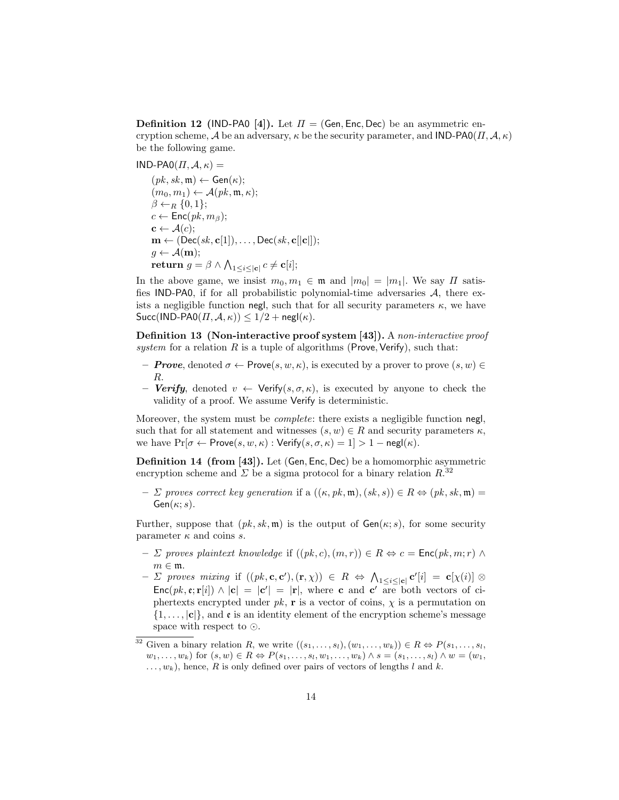**Definition 12** (IND-PA0 [4]). Let  $\Pi = (Gen, Enc, Dec)$  be an asymmetric encryption scheme, A be an adversary,  $\kappa$  be the security parameter, and IND-PA0( $\Pi$ ,  $\mathcal{A}, \kappa$ ) be the following game.

 $IND-PAO(\Pi, \mathcal{A}, \kappa) =$ 

 $(pk, sk, \mathfrak{m}) \leftarrow \mathsf{Gen}(\kappa);$  $(m_0, m_1) \leftarrow \mathcal{A}(pk, \mathfrak{m}, \kappa);$  $\beta \leftarrow_R \{0,1\};$  $c \leftarrow \mathsf{Enc}(pk, m_\beta);$  $\mathbf{c} \leftarrow \mathcal{A}(c);$  $\mathbf{m} \leftarrow (\mathsf{Dec}(sk, \mathbf{c}[1]), \dots, \mathsf{Dec}(sk, \mathbf{c}[[\mathbf{c}]]);$  $g \leftarrow \mathcal{A}(\mathbf{m});$  $\textbf{return } g = \beta \wedge \bigwedge_{1 \leq i \leq |\mathbf{c}|} c \neq \mathbf{c}[i];$ 

In the above game, we insist  $m_0, m_1 \in \mathfrak{m}$  and  $|m_0| = |m_1|$ . We say  $\Pi$  satisfies IND-PA0, if for all probabilistic polynomial-time adversaries  $A$ , there exists a negligible function negl, such that for all security parameters  $\kappa$ , we have  $Succ(IND-PAO(\Pi, \mathcal{A}, \kappa)) \leq 1/2 + \mathsf{negl}(\kappa).$ 

Definition 13 (Non-interactive proof system [43]). A non-interactive proof system for a relation  $R$  is a tuple of algorithms (Prove, Verify), such that:

- $\sigma$  Prove, denoted  $\sigma$   $\leftarrow$  Prove $(s, w, \kappa)$ , is executed by a prover to prove  $(s, w)$ R.
- **Verify**, denoted  $v \leftarrow \text{Verify}(s, \sigma, \kappa)$ , is executed by anyone to check the validity of a proof. We assume Verify is deterministic.

Moreover, the system must be *complete*: there exists a negligible function negl, such that for all statement and witnesses  $(s, w) \in R$  and security parameters  $\kappa$ , we have  $Pr[\sigma \leftarrow Prove(s, w, \kappa): Verify(s, \sigma, \kappa) = 1] > 1 - negl(\kappa).$ 

Definition 14 (from [43]). Let (Gen, Enc, Dec) be a homomorphic asymmetric encryption scheme and  $\Sigma$  be a sigma protocol for a binary relation  $R^{32}$ 

–  $\Sigma$  proves correct key generation if a  $((\kappa, pk, \mathfrak{m}), (sk, s)) \in R \Leftrightarrow (pk, sk, \mathfrak{m}) =$  $Gen(\kappa; s)$ .

Further, suppose that  $(pk, sk, \mathfrak{m})$  is the output of  $Gen(\kappa; s)$ , for some security parameter  $\kappa$  and coins s.

- $\Sigma$  proves plaintext knowledge if  $((pk, c), (m, r)) \in R \Leftrightarrow c = \text{Enc}(pk, m; r) \wedge$  $m \in \mathfrak{m}$ .
- $-$  *Σ* proves mixing if  $((pk, c, c'), (r, \chi)) \in R \Leftrightarrow \bigwedge_{1 \leq i \leq |c|} c'[i] = c[\chi(i)] \otimes$  $Enc(pk, \mathbf{e}; \mathbf{r}[i]) \wedge |\mathbf{c}| = |\mathbf{c}'| = |\mathbf{r}|$ , where **c** and **c'** are both vectors of ciphertexts encrypted under  $pk$ , **r** is a vector of coins,  $\chi$  is a permutation on  $\{1,\ldots,|\mathbf{c}|\}$ , and  $\mathfrak{e}$  is an identity element of the encryption scheme's message space with respect to  $\odot$ .

<sup>&</sup>lt;sup>32</sup> Given a binary relation R, we write  $((s_1, \ldots, s_l), (w_1, \ldots, w_k)) \in R \Leftrightarrow P(s_1, \ldots, s_l)$  $w_1, \ldots, w_k$ ) for  $(s, w) \in R \Leftrightarrow P(s_1, \ldots, s_l, w_1, \ldots, w_k) \wedge s = (s_1, \ldots, s_l) \wedge w = (w_1, \ldots, w_k)$  $\dots, w_k$ , hence, R is only defined over pairs of vectors of lengths l and k.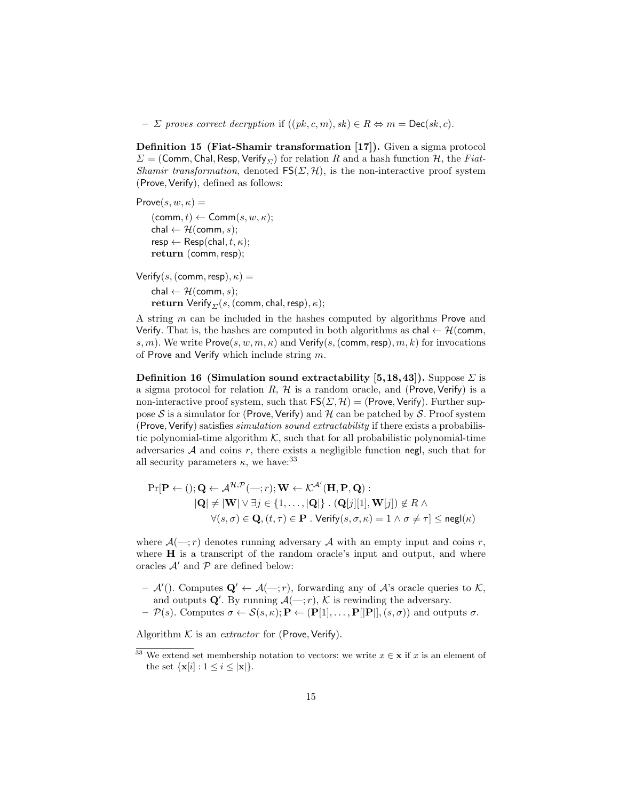$– \Sigma$  proves correct decryption if  $((pk, c, m), sk) \in R \Leftrightarrow m = \text{Dec}(sk, c)$ .

Definition 15 (Fiat-Shamir transformation [17]). Given a sigma protocol  $\Sigma = (Comm, Chal, Resp, Verify_{\Sigma})$  for relation R and a hash function H, the Fiat-Shamir transformation, denoted  $FS(\Sigma, \mathcal{H})$ , is the non-interactive proof system (Prove, Verify), defined as follows:

Prove $(s, w, \kappa) =$  $(\text{comm}, t) \leftarrow \text{Comm}(s, w, \kappa);$ chal  $\leftarrow$  H(comm, s);  $resp \leftarrow Resp(chal, t, \kappa);$ return (comm, resp);

Verify(s, (comm, resp),  $\kappa$ ) = chal  $\leftarrow$  H(comm, s); **return** Verify<sub> $\Sigma$ </sub> $(s,$  (comm, chal, resp),  $\kappa$ );

A string m can be included in the hashes computed by algorithms Prove and Verify. That is, the hashes are computed in both algorithms as  $\text{chal} \leftarrow \mathcal{H}(\text{comm},\text{S})$ s, m). We write  $Prove(s, w, m, \kappa)$  and  $Verify(s, (comm, resp), m, k)$  for invocations of Prove and Verify which include string  $m$ .

Definition 16 (Simulation sound extractability [5,18,43]). Suppose  $\Sigma$  is a sigma protocol for relation  $R$ ,  $H$  is a random oracle, and (Prove, Verify) is a non-interactive proof system, such that  $FS(\Sigma, \mathcal{H}) = (Prove, Verify)$ . Further suppose S is a simulator for (Prove, Verify) and H can be patched by S. Proof system (Prove, Verify) satisfies simulation sound extractability if there exists a probabilistic polynomial-time algorithm  $K$ , such that for all probabilistic polynomial-time adversaries  $A$  and coins  $r$ , there exists a negligible function negl, such that for all security parameters  $\kappa$ , we have:  $33$ 

$$
\Pr[\mathbf{P} \leftarrow (); \mathbf{Q} \leftarrow \mathcal{A}^{\mathcal{H}, \mathcal{P}}(\text{---}; r); \mathbf{W} \leftarrow \mathcal{K}^{\mathcal{A}'}(\mathbf{H}, \mathbf{P}, \mathbf{Q}):
$$
  

$$
|\mathbf{Q}| \neq |\mathbf{W}| \vee \exists j \in \{1, \dots, |\mathbf{Q}|\} \cdot (\mathbf{Q}[j][1], \mathbf{W}[j]) \notin R \land
$$
  

$$
\forall (s, \sigma) \in \mathbf{Q}, (t, \tau) \in \mathbf{P} \cdot \text{Verify}(s, \sigma, \kappa) = 1 \land \sigma \neq \tau] \leq \text{negl}(\kappa)
$$

where  $\mathcal{A}(-;r)$  denotes running adversary  $\mathcal A$  with an empty input and coins r, where **H** is a transcript of the random oracle's input and output, and where oracles  $A'$  and  $P$  are defined below:

- $-\mathcal{A}'$ . Computes  $\mathbf{Q}' \leftarrow \mathcal{A}(-;r)$ , forwarding any of  $\mathcal{A}'$ 's oracle queries to K, and outputs  $\mathbf{Q}'$ . By running  $\mathcal{A}(-;r)$ ,  $\mathcal{K}$  is rewinding the adversary.
- $-\mathcal{P}(s)$ . Computes  $\sigma \leftarrow \mathcal{S}(s,\kappa); \mathbf{P} \leftarrow (\mathbf{P}[1], \ldots, \mathbf{P}[[\mathbf{P}]], (s,\sigma))$  and outputs  $\sigma$ .

Algorithm  $K$  is an *extractor* for (Prove, Verify).

<sup>&</sup>lt;sup>33</sup> We extend set membership notation to vectors: we write  $x \in \mathbf{x}$  if x is an element of the set  $\{x[i] : 1 \le i \le |x|\}.$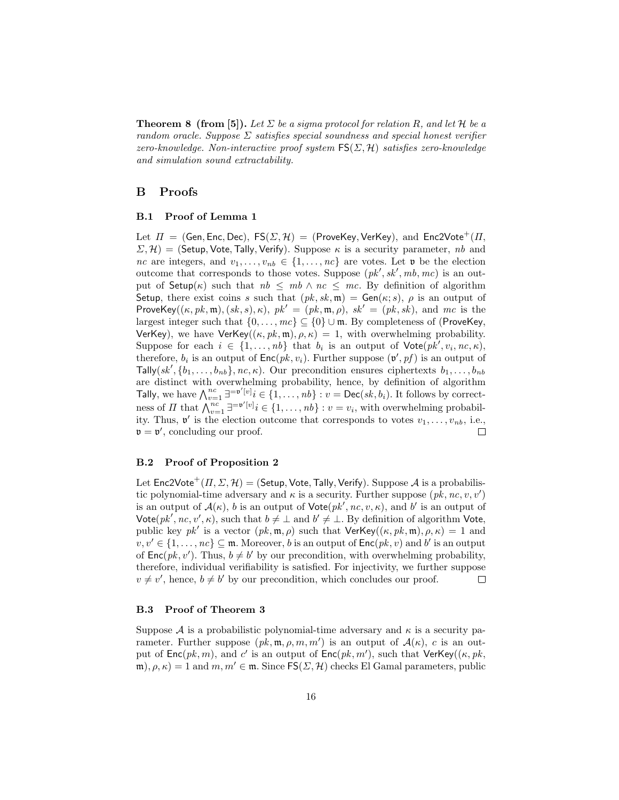**Theorem 8 (from [5]).** Let  $\Sigma$  be a sigma protocol for relation R, and let H be a random oracle. Suppose  $\Sigma$  satisfies special soundness and special honest verifier zero-knowledge. Non-interactive proof system  $FS(\Sigma, \mathcal{H})$  satisfies zero-knowledge and simulation sound extractability.

### B Proofs

#### B.1 Proof of Lemma 1

Let  $\Pi = (Gen, Enc, Dec), FS(\Sigma, \mathcal{H}) = (ProveKey, VerKey), and Enc2Vote<sup>+</sup>(\Pi,$  $\Sigma, \mathcal{H}$ ) = (Setup, Vote, Tally, Verify). Suppose  $\kappa$  is a security parameter, nb and nc are integers, and  $v_1, \ldots, v_{nb} \in \{1, \ldots, nc\}$  are votes. Let **v** be the election outcome that corresponds to those votes. Suppose  $(pk', sk', mb, mc)$  is an output of  $Setup(\kappa)$  such that  $nb \le mb \wedge nc \le mc$ . By definition of algorithm Setup, there exist coins s such that  $(pk, sk, \mathfrak{m}) = Gen(\kappa; s)$ ,  $\rho$  is an output of ProveKey( $(\kappa, pk, \mathfrak{m}), (sk, s), \kappa$ ),  $pk' = (pk, \mathfrak{m}, \rho)$ ,  $sk' = (pk, sk)$ , and mc is the largest integer such that  $\{0, \ldots, mc\} \subseteq \{0\} \cup \mathfrak{m}$ . By completeness of (ProveKey, VerKey), we have VerKey $((\kappa, pk, \mathfrak{m}), \rho, \kappa) = 1$ , with overwhelming probability. Suppose for each  $i \in \{1, \ldots, nb\}$  that  $b_i$  is an output of  $\mathsf{Vote}(pk', v_i, nc, \kappa)$ , therefore,  $b_i$  is an output of  $Enc(pk, v_i)$ . Further suppose  $(\mathfrak{v}', pf)$  is an output of Tally(sk',  $\{b_1, \ldots, b_{nb}\},$  nc,  $\kappa$ ). Our precondition ensures ciphertexts  $b_1, \ldots, b_{nb}$ are distinct with overwhelming probability, hence, by definition of algorithm Tally, we have  $\bigwedge_{v=1}^{nc} \exists^{=v'[v]} i \in \{1,\ldots,nb\}$ :  $v = \text{Dec}(sk, b_i)$ . It follows by correctness of  $\Pi$  that  $\bigwedge_{v=1}^{nc} \exists^{=\mathfrak{v}'[v]} i \in \{1,\ldots,nb\} : v = v_i$ , with overwhelming probability. Thus,  $\mathfrak{v}'$  is the election outcome that corresponds to votes  $v_1, \ldots, v_{nb}$ , i.e.,  $\mathfrak{v} = \mathfrak{v}'$ , concluding our proof.  $\Box$ 

#### B.2 Proof of Proposition 2

Let  $Enc2Vote^{+}(H, \Sigma, \mathcal{H}) =$  (Setup, Vote, Tally, Verify). Suppose A is a probabilistic polynomial-time adversary and  $\kappa$  is a security. Further suppose  $(pk, nc, v, v')$ is an output of  $\mathcal{A}(\kappa)$ , b is an output of  $\mathsf{Vote}(pk', nc, v, \kappa)$ , and b' is an output of Vote( $pk', nc, v', \kappa$ ), such that  $b \neq \bot$  and  $b' \neq \bot$ . By definition of algorithm Vote, public key  $pk'$  is a vector  $(pk, \mathfrak{m}, \rho)$  such that  $\mathsf{VerKey}((\kappa, pk, \mathfrak{m}), \rho, \kappa) = 1$  and  $v, v' \in \{1, \ldots, nc\} \subseteq \mathfrak{m}$ . Moreover, b is an output of  $\mathsf{Enc}(pk, v)$  and b' is an output of  $\mathsf{Enc}(pk, v')$ . Thus,  $b \neq b'$  by our precondition, with overwhelming probability, therefore, individual verifiability is satisfied. For injectivity, we further suppose  $v \neq v'$ , hence,  $b \neq b'$  by our precondition, which concludes our proof.  $\Box$ 

#### B.3 Proof of Theorem 3

Suppose A is a probabilistic polynomial-time adversary and  $\kappa$  is a security parameter. Further suppose  $(pk, \mathfrak{m}, \rho, m, m')$  is an output of  $\mathcal{A}(\kappa)$ , c is an output of  $Enc(pk, m)$ , and c' is an output of  $Enc(pk, m')$ , such that  $VerKey((\kappa, pk, m'))$  $(\mathfrak{m}), \rho, \kappa$  = 1 and  $m, m' \in \mathfrak{m}$ . Since  $\mathsf{FS}(\Sigma, \mathcal{H})$  checks El Gamal parameters, public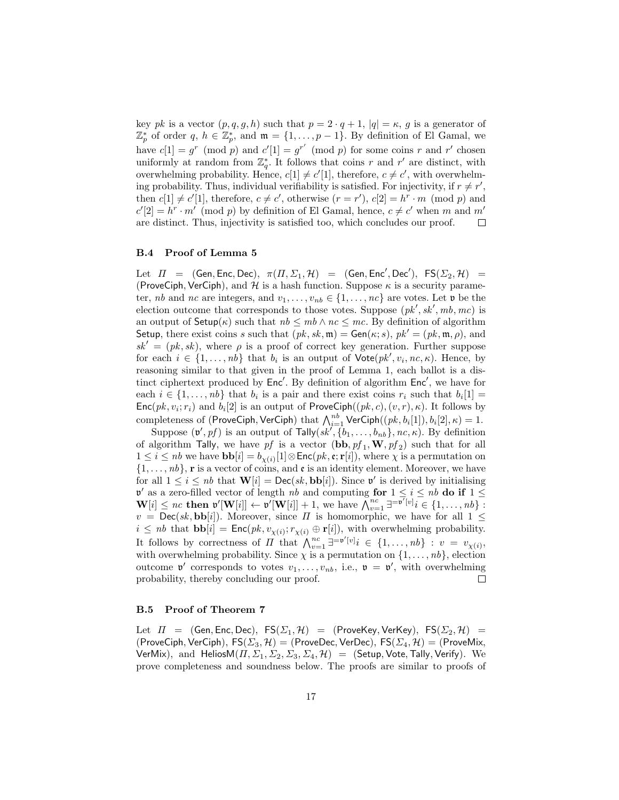key pk is a vector  $(p, q, g, h)$  such that  $p = 2 \cdot q + 1$ ,  $|q| = \kappa$ , g is a generator of  $\mathbb{Z}_p^*$  of order q,  $h \in \mathbb{Z}_p^*$ , and  $\mathfrak{m} = \{1, \ldots, p-1\}$ . By definition of El Gamal, we have  $c[1] = g^r \pmod{p}$  and  $c'[1] = g^{r'} \pmod{p}$  for some coins r and r' chosen uniformly at random from  $\mathbb{Z}_q^*$ . It follows that coins r and r' are distinct, with overwhelming probability. Hence,  $c[1] \neq c'[1]$ , therefore,  $c \neq c'$ , with overwhelming probability. Thus, individual verifiability is satisfied. For injectivity, if  $r \neq r'$ , then  $c[1] \neq c'[1]$ , therefore,  $c \neq c'$ , otherwise  $(r = r')$ ,  $c[2] = h^r \cdot m \pmod{p}$  and  $c'[2] = h^r \cdot m' \pmod{p}$  by definition of El Gamal, hence,  $c \neq c'$  when m and m' are distinct. Thus, injectivity is satisfied too, which concludes our proof.  $\Box$ 

#### B.4 Proof of Lemma 5

Let  $\Pi$  = (Gen, Enc, Dec),  $\pi(\Pi, \Sigma_1, \mathcal{H})$  = (Gen, Enc', Dec'),  $\mathsf{FS}(\Sigma_2, \mathcal{H})$  = (ProveCiph, VerCiph), and H is a hash function. Suppose  $\kappa$  is a security parameter, nb and nc are integers, and  $v_1, \ldots, v_{nb} \in \{1, \ldots, nc\}$  are votes. Let  $\mathfrak v$  be the election outcome that corresponds to those votes. Suppose  $(pk', sk', mb, mc)$  is an output of  $\mathsf{Setup}(\kappa)$  such that  $nb \le mb \wedge nc \le mc$ . By definition of algorithm Setup, there exist coins s such that  $(pk, sk, \mathfrak{m}) = \mathsf{Gen}(\kappa; s)$ ,  $pk' = (pk, \mathfrak{m}, \rho)$ , and  $sk' = (pk, sk)$ , where  $\rho$  is a proof of correct key generation. Further suppose for each  $i \in \{1, \ldots, nb\}$  that  $b_i$  is an output of  $\text{Vote}(pk', v_i, nc, \kappa)$ . Hence, by reasoning similar to that given in the proof of Lemma 1, each ballot is a distinct ciphertext produced by  $Enc'$ . By definition of algorithm  $Enc'$ , we have for each  $i \in \{1, \ldots, nb\}$  that  $b_i$  is a pair and there exist coins  $r_i$  such that  $b_i[1] =$  $Enc(pk, v_i; r_i)$  and  $b_i[2]$  is an output of ProveCiph $((pk, c), (v, r), \kappa)$ . It follows by completeness of (ProveCiph, VerCiph) that  $\bigwedge_{i=1}^{nb}$  VerCiph $((pk, b_i[1]), b_i[2], \kappa) = 1.$ 

Suppose  $(\mathfrak{v}', pf)$  is an output of Tally $(sk', \{b_1, \ldots, b_{nb}\}, nc, \kappa)$ . By definition of algorithm Tally, we have  $pf$  is a vector  $(\mathbf{bb}, pf_1, \mathbf{W}, pf_2)$  such that for all  $1 \leq i \leq nb$  we have  $\mathbf{bb}[i] = b_{\chi(i)}[1] \otimes \mathsf{Enc}(pk, \mathfrak{e}; \mathbf{r}[i]),$  where  $\chi$  is a permutation on  $\{1, \ldots, nb\}$ , **r** is a vector of coins, and **e** is an identity element. Moreover, we have for all  $1 \leq i \leq nb$  that  $\mathbf{W}[i] = \mathsf{Dec}(sk, \mathbf{bb}[i])$ . Since  $\mathfrak{v}'$  is derived by initialising  $v'$  as a zero-filled vector of length nb and computing for  $1 \le i \le nb$  do if  $1 \le$  $\mathbf{W}[i] \leq nc \text{ then } \mathfrak{v}'[\mathbf{W}[i]] \leftarrow \mathfrak{v}'[\mathbf{W}[i]] + 1, \text{ we have } \stackrel{\sim}{\bigwedge_{v=1}^{nc}} \exists^{\exists \overline{v'}[v]} i \in \{1, \ldots, nb\}$  $v = \text{Dec}(sk, \textbf{bb}[i])$ . Moreover, since  $\Pi$  is homomorphic, we have for all  $1 \leq$  $i \leq nb$  that  $\mathbf{bb}[i] = \mathsf{Enc}(pk, v_{\chi(i)}; r_{\chi(i)} \oplus \mathbf{r}[i]),$  with overwhelming probability. It follows by correctness of  $\Pi$  that  $\bigwedge_{v=1}^{nc} \exists^{=\mathfrak{v}'[v]} i \in \{1,\ldots,n\} : v = v_{\chi(i)},$ with overwhelming probability. Since  $\chi$  is a permutation on  $\{1, \ldots, nb\}$ , election outcome  $\mathfrak{v}'$  corresponds to votes  $v_1, \ldots, v_{nb}$ , i.e.,  $\mathfrak{v} = \mathfrak{v}'$ , with overwhelming probability, thereby concluding our proof.  $\Box$ 

#### B.5 Proof of Theorem 7

Let  $\Pi = (\mathsf{Gen}, \mathsf{Enc}, \mathsf{Dec}), \ \mathsf{FS}(\Sigma_1, \mathcal{H}) = (\mathsf{ProveKey}, \mathsf{VerKey}), \ \mathsf{FS}(\Sigma_2, \mathcal{H}) =$ (ProveCiph, VerCiph),  $FS(\Sigma_3, \mathcal{H}) =$  (ProveDec, VerDec),  $FS(\Sigma_4, \mathcal{H}) =$  (ProveMix, VerMix), and HeliosM $(\Pi, \Sigma_1, \Sigma_2, \Sigma_3, \Sigma_4, \mathcal{H}) =$  (Setup, Vote, Tally, Verify). We prove completeness and soundness below. The proofs are similar to proofs of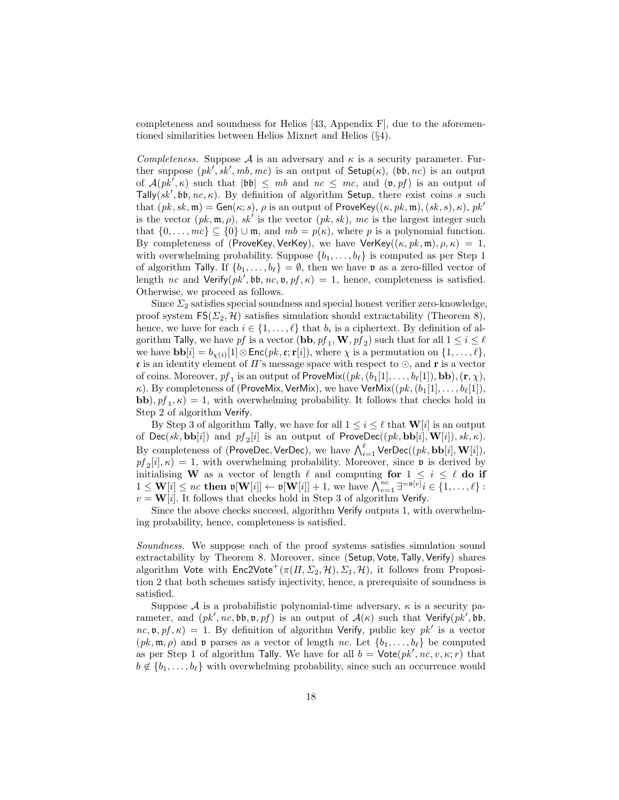completeness and soundness for Helios  $[43,$  Appendix F, due to the aforementioned similarities between Helios Mixnet and Helios (§4).

Completeness. Suppose A is an adversary and  $\kappa$  is a security parameter. Further suppose  $(pk', sk', mb, mc)$  is an output of  $Setup(\kappa)$ ,  $(bb, nc)$  is an output of  $A(pk', \kappa)$  such that  $|bb| \leq mb$  and  $nc \leq mc$ , and  $(v, pf)$  is an output of Tally( $sk'$ , bb, nc,  $\kappa$ ). By definition of algorithm Setup, there exist coins s such that  $(pk, sk, \mathfrak{m}) = Gen(\kappa; s)$ ,  $\rho$  is an output of ProveKey $((\kappa, pk, \mathfrak{m}), (sk, s), \kappa), pk'$ is the vector  $(pk, \mathfrak{m}, \rho)$ , sk<sup>t</sup> is the vector  $(pk, sk)$ , mc is the largest integer such that  $\{0, \ldots, mc\} \subseteq \{0\} \cup \mathfrak{m}$ , and  $mb = p(\kappa)$ , where p is a polynomial function. By completeness of (ProveKey, VerKey), we have VerKey( $(\kappa, pk, \mathfrak{m}), \rho, \kappa$ ) = 1, with overwhelming probability. Suppose  $\{b_1, \ldots, b_\ell\}$  is computed as per Step 1 of algorithm Tally. If  $\{b_1, \ldots, b_\ell\} = \emptyset$ , then we have **v** as a zero-filled vector of length nc and Verify $(pk', \mathfrak{bb}, nc, \mathfrak{v}, pf, \kappa) = 1$ , hence, completeness is satisfied. Otherwise, we proceed as follows.

Since  $\Sigma_2$  satisfies special soundness and special honest verifier zero-knowledge, proof system  $FS(\Sigma_2, \mathcal{H})$  satisfies simulation should extractability (Theorem 8), hence, we have for each  $i \in \{1, \ldots, \ell\}$  that  $b_i$  is a ciphertext. By definition of algorithm Tally, we have  $pf$  is a vector  $(\mathbf{bb}, pf_1, \mathbf{W}, pf_2)$  such that for all  $1 \leq i \leq \ell$ we have  $\mathbf{bb}[i] = b_{\chi(i)}[1] \otimes \mathsf{Enc}(pk, \mathbf{c}; \mathbf{r}[i]),$  where  $\chi$  is a permutation on  $\{1, \ldots, \ell\},$ **e** is an identity element of  $\Pi$ 's message space with respect to  $\odot$ , and **r** is a vector of coins. Moreover,  $pf_1$  is an output of ProveMix $((pk, (b_1[1], \ldots, b_\ell[1]), \mathbf{bb}), (\mathbf{r}, \chi),$ κ). By completeness of (ProveMix, VerMix), we have VerMix $((pk, (b_1[1], \ldots, b_\ell[1]),$ **bb**),  $pf_1, \kappa$  = 1, with overwhelming probability. It follows that checks hold in Step 2 of algorithm Verify.

By Step 3 of algorithm Tally, we have for all  $1 \leq i \leq \ell$  that  $\mathbf{W}[i]$  is an output of  $\mathsf{Dec}(sk, \mathbf{bb}[i])$  and  $pf_2[i]$  is an output of  $\mathsf{ProveDec}((pk, \mathbf{bb}[i], \mathbf{W}[i]), sk, \kappa)$ . By completeness of (ProveDec, VerDec), we have  $\bigwedge_{i=1}^\ell \mathsf{VerDec}((pk, \mathbf{bb}[i], \mathbf{W}[i]),$  $pf_2[i], \kappa$  = 1, with overwhelming probability. Moreover, since **v** is derived by initialising W as a vector of length  $\ell$  and computing for  $1 \leq i \leq \ell$  do if  $1 \leq \mathbf{W}[i] \leq nc$  then  $\mathfrak{v}[\mathbf{W}[i]] \leftarrow \mathfrak{v}[\mathbf{W}[i]] + 1$ , we have  $\bigwedge_{v=1}^{nc} \exists^{\mathfrak{v}[\overline{v}]} i \in \{1, \ldots, \ell\}$ :  $v = W[i]$ . It follows that checks hold in Step 3 of algorithm Verify.

Since the above checks succeed, algorithm Verify outputs 1, with overwhelming probability, hence, completeness is satisfied.

Soundness. We suppose each of the proof systems satisfies simulation sound extractability by Theorem 8. Moreover, since (Setup, Vote,Tally, Verify) shares algorithm Vote with  $Enc2Vote^{+}(\pi(\Pi, \Sigma_2, \mathcal{H}), \Sigma_1, \mathcal{H})$ , it follows from Proposition 2 that both schemes satisfy injectivity, hence, a prerequisite of soundness is satisfied.

Suppose  $A$  is a probabilistic polynomial-time adversary,  $\kappa$  is a security parameter, and  $(pk', nc, bb, v, pf)$  is an output of  $\mathcal{A}(\kappa)$  such that Verify(pk', bb,  $nc, \mathfrak{v}, pf, \kappa$  = 1. By definition of algorithm Verify, public key  $pk'$  is a vector  $(pk, \mathfrak{m}, \rho)$  and  $\mathfrak{v}$  parses as a vector of length nc. Let  $\{b_1, \ldots, b_\ell\}$  be computed as per Step 1 of algorithm Tally. We have for all  $b = \mathsf{Vote}(pk', nc, v, \kappa; r)$  that  $b \notin \{b_1, \ldots, b_\ell\}$  with overwhelming probability, since such an occurrence would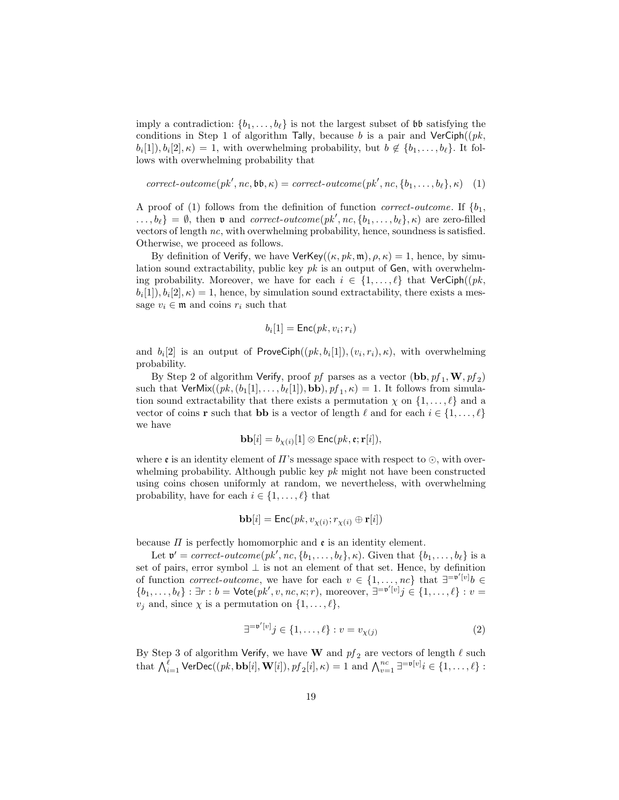imply a contradiction:  $\{b_1, \ldots, b_\ell\}$  is not the largest subset of bb satisfying the conditions in Step 1 of algorithm Tally, because b is a pair and  $VerCiph((pk,$  $b_i[1], b_i[2], \kappa = 1$ , with overwhelming probability, but  $b \notin \{b_1, \ldots, b_\ell\}$ . It follows with overwhelming probability that

$$
correct-outcome(pk', nc, \mathfrak{bb}, \kappa) = correct-outcome(pk', nc, \{b_1, \ldots, b_\ell\}, \kappa)
$$
 (1)

A proof of (1) follows from the definition of function *correct-outcome*. If  $\{b_1,$  $\ldots, b_{\ell}$  =  $\emptyset$ , then **v** and *correct-outcome*( $pk', nc, \{b_1, \ldots, b_{\ell}\}, \kappa$ ) are zero-filled vectors of length nc, with overwhelming probability, hence, soundness is satisfied. Otherwise, we proceed as follows.

By definition of Verify, we have VerKey $((\kappa, pk, \mathfrak{m}), \rho, \kappa) = 1$ , hence, by simulation sound extractability, public key  $pk$  is an output of Gen, with overwhelming probability. Moreover, we have for each  $i \in \{1, \ldots, \ell\}$  that VerCiph((pk,  $b_i[1], b_i[2], \kappa = 1$ , hence, by simulation sound extractability, there exists a message  $v_i \in \mathfrak{m}$  and coins  $r_i$  such that

$$
b_i[1] = \mathsf{Enc}(pk, v_i; r_i)
$$

and  $b_i[2]$  is an output of ProveCiph $((pk, b_i[1]), (v_i, r_i), \kappa)$ , with overwhelming probability.

By Step 2 of algorithm Verify, proof  $pf$  parses as a vector  $(\mathbf{bb}, pf_1, \mathbf{W}, pf_2)$ such that  $\mathsf{VerMix}((pk, (b_1[1], \ldots, b_\ell[1]), \mathbf{bb}), pf_1, \kappa) = 1$ . It follows from simulation sound extractability that there exists a permutation  $\chi$  on  $\{1, \ldots, \ell\}$  and a vector of coins **r** such that **bb** is a vector of length  $\ell$  and for each  $i \in \{1, \ldots, \ell\}$ we have

$$
\mathbf{bb}[i] = b_{\chi(i)}[1] \otimes \mathsf{Enc}(pk, \mathfrak{e}; \mathbf{r}[i]),
$$

where  $\mathfrak e$  is an identity element of  $\Pi$ 's message space with respect to  $\odot$ , with overwhelming probability. Although public key  $pk$  might not have been constructed using coins chosen uniformly at random, we nevertheless, with overwhelming probability, have for each  $i \in \{1, \ldots, \ell\}$  that

$$
\mathbf{bb}[i] = \mathsf{Enc}(pk, v_{\chi(i)}; r_{\chi(i)} \oplus \mathbf{r}[i])
$$

because  $\Pi$  is perfectly homomorphic and  $\mathfrak e$  is an identity element.

Let  $\mathfrak{v}' = correct\text{-}outcome(pk', nc, \{b_1, \ldots, b_\ell\}, \kappa)$ . Given that  $\{b_1, \ldots, b_\ell\}$  is a set of pairs, error symbol  $\perp$  is not an element of that set. Hence, by definition of function *correct-outcome*, we have for each  $v \in \{1, ..., nc\}$  that  $\exists^{=v'[v]}b \in$  $\{b_1,\ldots,b_\ell\} : \exists r : b = \mathsf{Vote}(pk', v, nc, \kappa; r)$ , moreover,  $\exists^{=v'[v]}j \in \{1,\ldots,\ell\} : v =$  $v_j$  and, since  $\chi$  is a permutation on  $\{1, \ldots, \ell\},\$ 

$$
\exists^{=v'[v]}j \in \{1, \dots, \ell\} : v = v_{\chi(j)} \tag{2}
$$

By Step 3 of algorithm Verify, we have W and  $pf_2$  are vectors of length  $\ell$  such that  $\bigwedge_{i=1}^{\ell} \mathsf{VerDec}((pk, \mathbf{bb}[i], \mathbf{W}[i]), p f_2[i], \kappa) = 1$  and  $\bigwedge_{v=1}^{nc} \exists^{\equiv \mathfrak{v}[v]} i \in \{1, \ldots, \ell\}$ :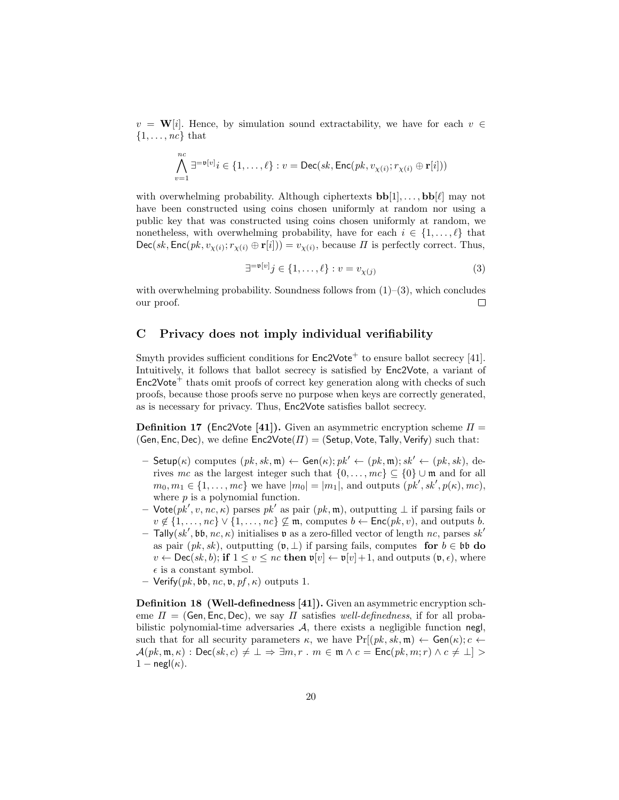$v = \mathbf{W}[i]$ . Hence, by simulation sound extractability, we have for each  $v \in$  $\{1, \ldots, nc\}$  that

$$
\bigwedge_{v=1}^{nc} \exists^{=\mathfrak{v}[v]} i \in \{1,\ldots,\ell\} : v = \mathsf{Dec}(sk,\mathsf{Enc}(pk,v_{\chi(i)};r_{\chi(i)} \oplus \mathbf{r}[i]))
$$

with overwhelming probability. Although ciphertexts  $\textbf{bb}[1], \ldots, \textbf{bb}[\ell]$  may not have been constructed using coins chosen uniformly at random nor using a public key that was constructed using coins chosen uniformly at random, we nonetheless, with overwhelming probability, have for each  $i \in \{1, \ldots, \ell\}$  that  $Dec(sk, Enc(pk, v_{\chi(i)}; r_{\chi(i)} \oplus r[i])) = v_{\chi(i)}$ , because  $\Pi$  is perfectly correct. Thus,

$$
\exists^{\text{=v}[v]} j \in \{1, \dots, \ell\} : v = v_{\chi(j)} \tag{3}
$$

with overwhelming probability. Soundness follows from  $(1)$ – $(3)$ , which concludes our proof. □

## C Privacy does not imply individual verifiability

Smyth provides sufficient conditions for  $Enc2Vote<sup>+</sup>$  to ensure ballot secrecy [41]. Intuitively, it follows that ballot secrecy is satisfied by Enc2Vote, a variant of  $Enc2Vote<sup>+</sup>$  thats omit proofs of correct key generation along with checks of such proofs, because those proofs serve no purpose when keys are correctly generated, as is necessary for privacy. Thus, Enc2Vote satisfies ballot secrecy.

**Definition 17** (Enc2Vote [41]). Given an asymmetric encryption scheme  $\Pi$ (Gen, Enc, Dec), we define  $Enc2Vote(\Pi) = (Setup, Vote, Tally, Verify)$  such that:

- Setup( $\kappa$ ) computes  $(pk, sk, \mathfrak{m}) \leftarrow Gen(\kappa); pk' \leftarrow (pk, \mathfrak{m}); sk' \leftarrow (pk, sk),$  derives mc as the largest integer such that  $\{0, \ldots, mc\} \subset \{0\} \cup \mathfrak{m}$  and for all  $m_0, m_1 \in \{1, \ldots, mc\}$  we have  $|m_0| = |m_1|$ , and outputs  $(pk', sk', p(\kappa), mc)$ , where  $p$  is a polynomial function.
- Vote $(pk', v, nc, \kappa)$  parses  $pk'$  as pair  $(pk, \mathfrak{m})$ , outputting  $\perp$  if parsing fails or  $v \notin \{1, \ldots, nc\} \vee \{1, \ldots, nc\} \not\subseteq \mathfrak{m}$ , computes  $b \leftarrow \mathsf{Enc}(pk, v)$ , and outputs b.  $-$  Tally(sk', bb, nc,  $\kappa$ ) initialises v as a zero-filled vector of length nc, parses sk' as pair  $(pk, sk)$ , outputting  $(\mathfrak{v}, \perp)$  if parsing fails, computes for  $b \in \mathfrak{b}\mathfrak{b}$  do  $v \leftarrow \text{Dec}(sk, b)$ ; if  $1 \le v \le nc$  then  $\mathfrak{v}[v] \leftarrow \mathfrak{v}[v] + 1$ , and outputs  $(\mathfrak{v}, \epsilon)$ , where  $\epsilon$  is a constant symbol.
- Verify $(pk, bb, nc, v, pf, \kappa)$  outputs 1.

Definition 18 (Well-definedness [41]). Given an asymmetric encryption scheme  $\Pi = (Gen, Enc, Dec)$ , we say  $\Pi$  satisfies well-definedness, if for all probabilistic polynomial-time adversaries  $A$ , there exists a negligible function negl, such that for all security parameters  $\kappa$ , we have  $Pr[(pk, sk, \mathfrak{m}) \leftarrow Gen(\kappa); c \leftarrow$  $\mathcal{A}(pk, \mathfrak{m}, \kappa): \mathsf{Dec}(sk, c) \neq \bot \Rightarrow \exists m, r \in \mathfrak{m} \land c = \mathsf{Enc}(pk, m; r) \land c \neq \bot$  $1 - \text{negl}(\kappa)$ .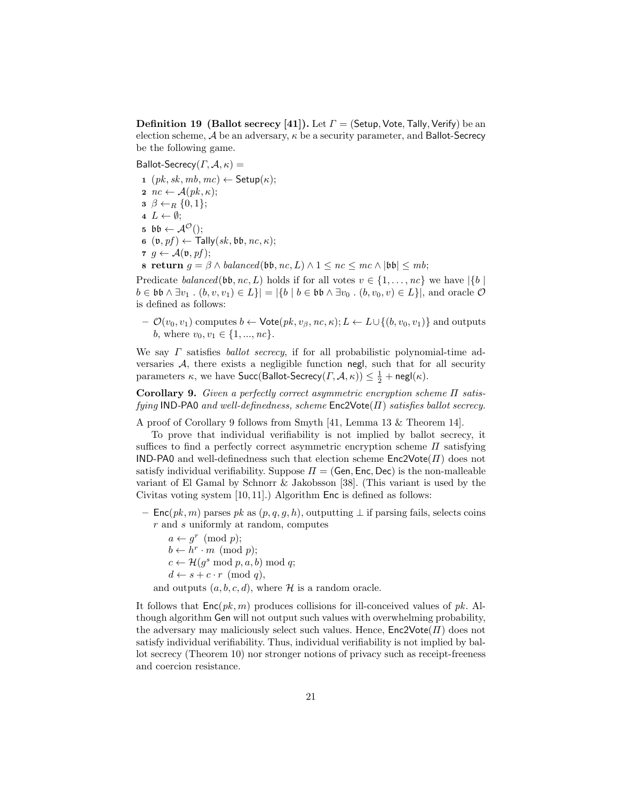**Definition 19** (Ballot secrecy [41]). Let  $\Gamma$  = (Setup, Vote, Tally, Verify) be an election scheme,  $A$  be an adversary,  $\kappa$  be a security parameter, and Ballot-Secrecy be the following game.

Ballot-Secrecy( $\Gamma$ ,  $\mathcal{A}$ ,  $\kappa$ ) =

1  $(pk, sk, mb, mc) \leftarrow$  Setup $(\kappa);$ 2  $nc \leftarrow \mathcal{A}(pk, \kappa);$  $\mathbf{3} \ \beta \leftarrow_R \{0,1\};$  $4 L \leftarrow \emptyset;$ 5  $\mathfrak{bb} \leftarrow \mathcal{A}^{\mathcal{O}}$ ();  $\mathfrak{g}$   $(\mathfrak{v}, pf) \leftarrow \text{Tally}(sk, \mathfrak{bb}, nc, \kappa);$  $\tau \, q \leftarrow \mathcal{A}(\mathfrak{v}, pf);$ 8 return  $g = \beta \wedge balanced(b\mathfrak{b}, nc, L) \wedge 1 \leq nc \leq mc \wedge |b\mathfrak{b}| \leq mb;$ 

Predicate balanced(bb, nc, L) holds if for all votes  $v \in \{1, \ldots, nc\}$  we have  $|\{b\}|$  $b \in \mathfrak{bb} \wedge \exists v_1 \cdot (b, v, v_1) \in L \} = |\{b \mid b \in \mathfrak{bb} \wedge \exists v_0 \cdot (b, v_0, v) \in L\}|$ , and oracle  $\mathcal{O}$ is defined as follows:

 $-$  *O*(*v*<sub>0</sub>, *v*<sub>1</sub>) computes *b* ← Vote(*pk*, *v*<sub>β</sub>, *nc*, *κ*); *L* ← *L*∪{(*b*, *v*<sub>0</sub>, *v*<sub>1</sub>)} and outputs b, where  $v_0, v_1 \in \{1, ..., nc\}$ .

We say  $\Gamma$  satisfies *ballot secrecy*, if for all probabilistic polynomial-time adversaries  $A$ , there exists a negligible function negl, such that for all security parameters  $\kappa$ , we have  $\mathsf{Succ}(\mathsf{Ballot\text{-}Secrecy}(I,\mathcal{A},\kappa)) \leq \frac{1}{2} + \mathsf{negl}(\kappa).$ 

Corollary 9. Given a perfectly correct asymmetric encryption scheme Π satisfying IND-PA0 and well-definedness, scheme  $Enc2Vote(\Pi)$  satisfies ballot secrecy.

A proof of Corollary 9 follows from Smyth [41, Lemma 13 & Theorem 14].

To prove that individual verifiability is not implied by ballot secrecy, it suffices to find a perfectly correct asymmetric encryption scheme  $\Pi$  satisfying IND-PA0 and well-definedness such that election scheme  $Enc2Vote(\Pi)$  does not satisfy individual verifiability. Suppose  $\Pi = (Gen, Enc, Dec)$  is the non-malleable variant of El Gamal by Schnorr & Jakobsson [38]. (This variant is used by the Civitas voting system [10, 11].) Algorithm Enc is defined as follows:

– Enc(pk, m) parses pk as (p, q, g, h), outputting ⊥ if parsing fails, selects coins r and s uniformly at random, computes

 $a \leftarrow g^r \pmod{p};$  $b \leftarrow h^r \cdot m \pmod{p};$  $c \leftarrow \mathcal{H}(g^s \mod p, a, b) \mod q;$  $d \leftarrow s + c \cdot r \pmod{q},$ and outputs  $(a, b, c, d)$ , where  $\mathcal H$  is a random oracle.

It follows that  $Enc(pk, m)$  produces collisions for ill-conceived values of pk. Although algorithm Gen will not output such values with overwhelming probability, the adversary may maliciously select such values. Hence,  $Enc2Vote(\Pi)$  does not satisfy individual verifiability. Thus, individual verifiability is not implied by ballot secrecy (Theorem 10) nor stronger notions of privacy such as receipt-freeness and coercion resistance.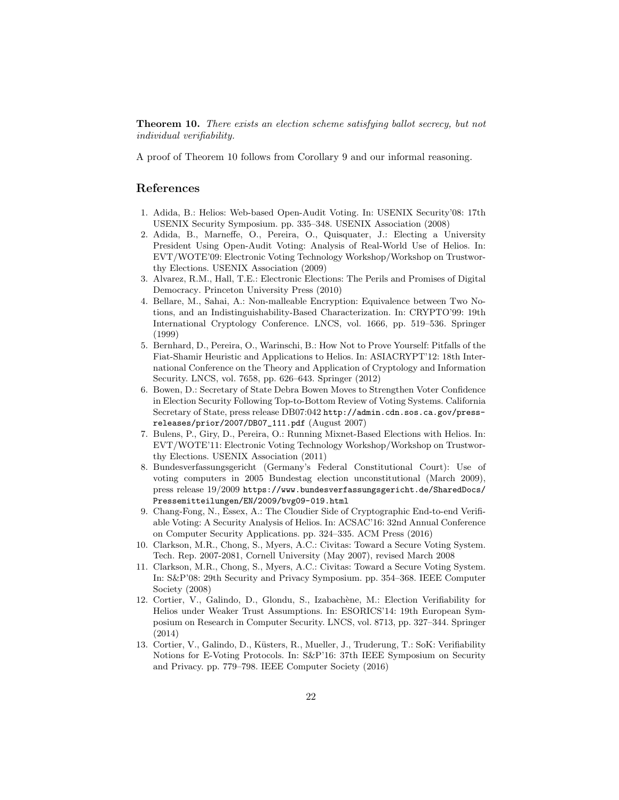Theorem 10. There exists an election scheme satisfying ballot secrecy, but not individual verifiability.

A proof of Theorem 10 follows from Corollary 9 and our informal reasoning.

### References

- 1. Adida, B.: Helios: Web-based Open-Audit Voting. In: USENIX Security'08: 17th USENIX Security Symposium. pp. 335–348. USENIX Association (2008)
- 2. Adida, B., Marneffe, O., Pereira, O., Quisquater, J.: Electing a University President Using Open-Audit Voting: Analysis of Real-World Use of Helios. In: EVT/WOTE'09: Electronic Voting Technology Workshop/Workshop on Trustworthy Elections. USENIX Association (2009)
- 3. Alvarez, R.M., Hall, T.E.: Electronic Elections: The Perils and Promises of Digital Democracy. Princeton University Press (2010)
- 4. Bellare, M., Sahai, A.: Non-malleable Encryption: Equivalence between Two Notions, and an Indistinguishability-Based Characterization. In: CRYPTO'99: 19th International Cryptology Conference. LNCS, vol. 1666, pp. 519–536. Springer (1999)
- 5. Bernhard, D., Pereira, O., Warinschi, B.: How Not to Prove Yourself: Pitfalls of the Fiat-Shamir Heuristic and Applications to Helios. In: ASIACRYPT'12: 18th International Conference on the Theory and Application of Cryptology and Information Security. LNCS, vol. 7658, pp. 626–643. Springer (2012)
- 6. Bowen, D.: Secretary of State Debra Bowen Moves to Strengthen Voter Confidence in Election Security Following Top-to-Bottom Review of Voting Systems. California Secretary of State, press release DB07:042 http://admin.cdn.sos.ca.gov/pressreleases/prior/2007/DB07\_111.pdf (August 2007)
- 7. Bulens, P., Giry, D., Pereira, O.: Running Mixnet-Based Elections with Helios. In: EVT/WOTE'11: Electronic Voting Technology Workshop/Workshop on Trustworthy Elections. USENIX Association (2011)
- 8. Bundesverfassungsgericht (Germany's Federal Constitutional Court): Use of voting computers in 2005 Bundestag election unconstitutional (March 2009), press release 19/2009 https://www.bundesverfassungsgericht.de/SharedDocs/ Pressemitteilungen/EN/2009/bvg09-019.html
- 9. Chang-Fong, N., Essex, A.: The Cloudier Side of Cryptographic End-to-end Verifiable Voting: A Security Analysis of Helios. In: ACSAC'16: 32nd Annual Conference on Computer Security Applications. pp. 324–335. ACM Press (2016)
- 10. Clarkson, M.R., Chong, S., Myers, A.C.: Civitas: Toward a Secure Voting System. Tech. Rep. 2007-2081, Cornell University (May 2007), revised March 2008
- 11. Clarkson, M.R., Chong, S., Myers, A.C.: Civitas: Toward a Secure Voting System. In: S&P'08: 29th Security and Privacy Symposium. pp. 354–368. IEEE Computer Society (2008)
- 12. Cortier, V., Galindo, D., Glondu, S., Izabachène, M.: Election Verifiability for Helios under Weaker Trust Assumptions. In: ESORICS'14: 19th European Symposium on Research in Computer Security. LNCS, vol. 8713, pp. 327–344. Springer (2014)
- 13. Cortier, V., Galindo, D., Küsters, R., Mueller, J., Truderung, T.: SoK: Verifiability Notions for E-Voting Protocols. In: S&P'16: 37th IEEE Symposium on Security and Privacy. pp. 779–798. IEEE Computer Society (2016)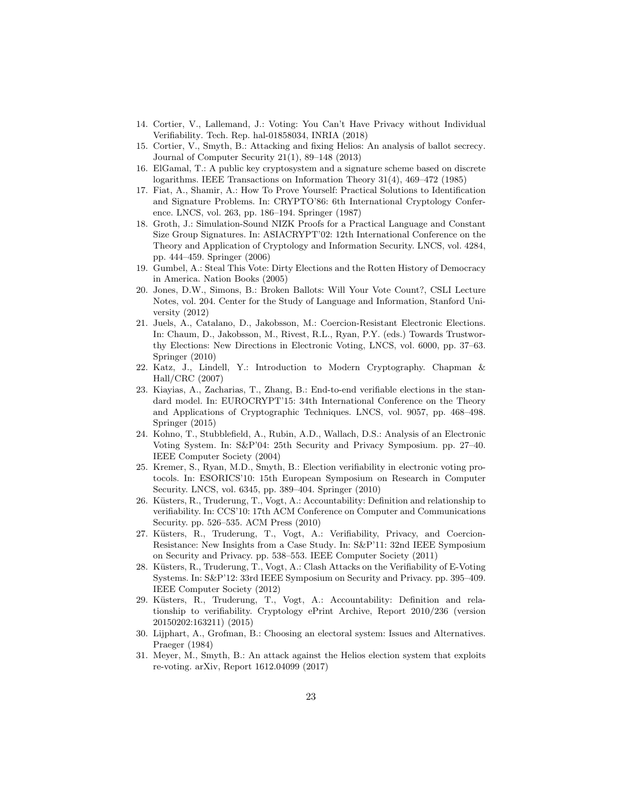- 14. Cortier, V., Lallemand, J.: Voting: You Can't Have Privacy without Individual Verifiability. Tech. Rep. hal-01858034, INRIA (2018)
- 15. Cortier, V., Smyth, B.: Attacking and fixing Helios: An analysis of ballot secrecy. Journal of Computer Security 21(1), 89–148 (2013)
- 16. ElGamal, T.: A public key cryptosystem and a signature scheme based on discrete logarithms. IEEE Transactions on Information Theory 31(4), 469–472 (1985)
- 17. Fiat, A., Shamir, A.: How To Prove Yourself: Practical Solutions to Identification and Signature Problems. In: CRYPTO'86: 6th International Cryptology Conference. LNCS, vol. 263, pp. 186–194. Springer (1987)
- 18. Groth, J.: Simulation-Sound NIZK Proofs for a Practical Language and Constant Size Group Signatures. In: ASIACRYPT'02: 12th International Conference on the Theory and Application of Cryptology and Information Security. LNCS, vol. 4284, pp. 444–459. Springer (2006)
- 19. Gumbel, A.: Steal This Vote: Dirty Elections and the Rotten History of Democracy in America. Nation Books (2005)
- 20. Jones, D.W., Simons, B.: Broken Ballots: Will Your Vote Count?, CSLI Lecture Notes, vol. 204. Center for the Study of Language and Information, Stanford University (2012)
- 21. Juels, A., Catalano, D., Jakobsson, M.: Coercion-Resistant Electronic Elections. In: Chaum, D., Jakobsson, M., Rivest, R.L., Ryan, P.Y. (eds.) Towards Trustworthy Elections: New Directions in Electronic Voting, LNCS, vol. 6000, pp. 37–63. Springer (2010)
- 22. Katz, J., Lindell, Y.: Introduction to Modern Cryptography. Chapman & Hall/CRC (2007)
- 23. Kiayias, A., Zacharias, T., Zhang, B.: End-to-end verifiable elections in the standard model. In: EUROCRYPT'15: 34th International Conference on the Theory and Applications of Cryptographic Techniques. LNCS, vol. 9057, pp. 468–498. Springer (2015)
- 24. Kohno, T., Stubblefield, A., Rubin, A.D., Wallach, D.S.: Analysis of an Electronic Voting System. In: S&P'04: 25th Security and Privacy Symposium. pp. 27–40. IEEE Computer Society (2004)
- 25. Kremer, S., Ryan, M.D., Smyth, B.: Election verifiability in electronic voting protocols. In: ESORICS'10: 15th European Symposium on Research in Computer Security. LNCS, vol. 6345, pp. 389–404. Springer (2010)
- 26. Küsters, R., Truderung, T., Vogt, A.: Accountability: Definition and relationship to verifiability. In: CCS'10: 17th ACM Conference on Computer and Communications Security. pp. 526–535. ACM Press (2010)
- 27. Küsters, R., Truderung, T., Vogt, A.: Verifiability, Privacy, and Coercion-Resistance: New Insights from a Case Study. In: S&P'11: 32nd IEEE Symposium on Security and Privacy. pp. 538–553. IEEE Computer Society (2011)
- 28. Küsters, R., Truderung, T., Vogt, A.: Clash Attacks on the Verifiability of E-Voting Systems. In: S&P'12: 33rd IEEE Symposium on Security and Privacy. pp. 395–409. IEEE Computer Society (2012)
- 29. Küsters, R., Truderung, T., Vogt, A.: Accountability: Definition and relationship to verifiability. Cryptology ePrint Archive, Report 2010/236 (version 20150202:163211) (2015)
- 30. Lijphart, A., Grofman, B.: Choosing an electoral system: Issues and Alternatives. Praeger (1984)
- 31. Meyer, M., Smyth, B.: An attack against the Helios election system that exploits re-voting. arXiv, Report 1612.04099 (2017)